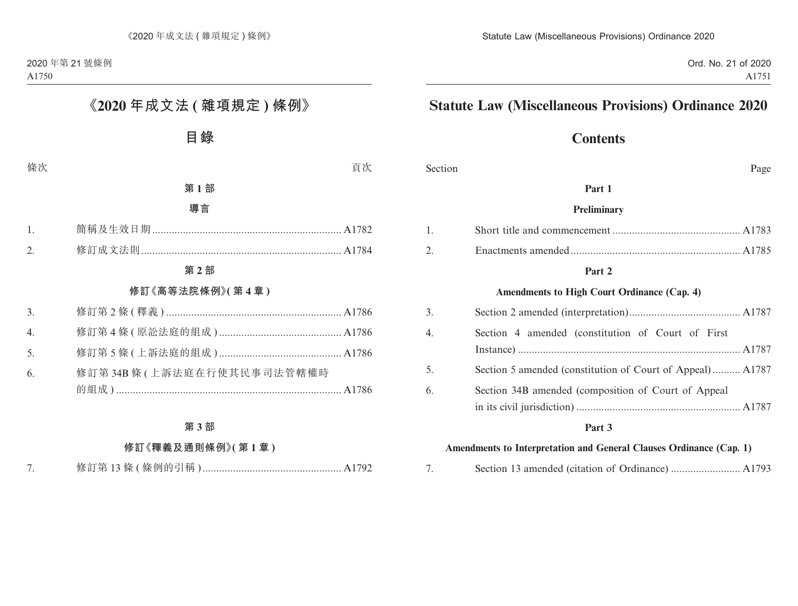## **Contents**

Section Page

#### **Part 1**

#### **Preliminary**

#### **Part 2**

#### **Amendments to High Court Ordinance (Cap. 4)**

| 3. |                                                           |
|----|-----------------------------------------------------------|
| 4. | Section 4 amended (constitution of Court of First         |
| 5. | Section 5 amended (constitution of Court of Appeal) A1787 |
| 6. | Section 34B amended (composition of Court of Appeal       |

#### **Part 3**

#### **Amendments to Interpretation and General Clauses Ordinance (Cap. 1)**

|--|--|--|--|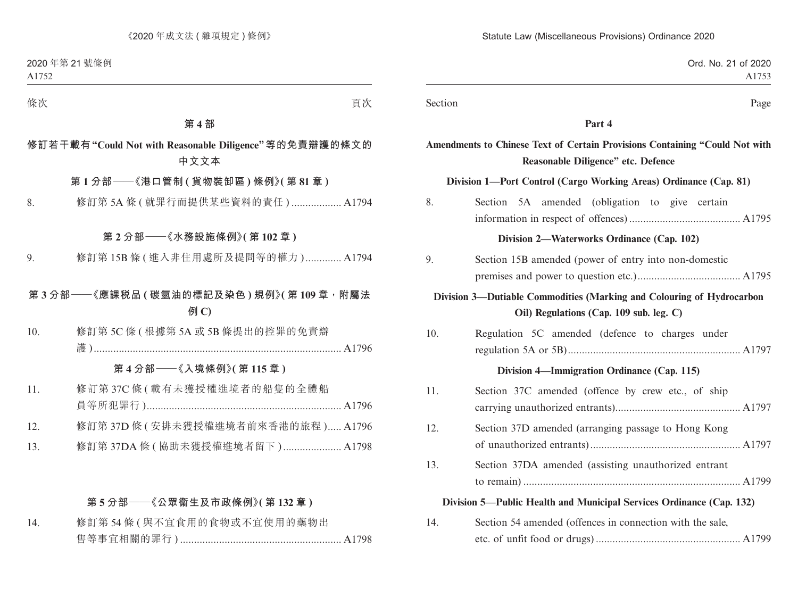| Ord. No. 21 of 2020<br>A1753                                                                                      |         |
|-------------------------------------------------------------------------------------------------------------------|---------|
| Page                                                                                                              | Section |
| Part 4                                                                                                            |         |
| Amendments to Chinese Text of Certain Provisions Containing "Could Not with<br>Reasonable Diligence" etc. Defence |         |
| Division 1-Port Control (Cargo Working Areas) Ordinance (Cap. 81)                                                 |         |
| Section 5A amended (obligation to give certain                                                                    | 8.      |
| Division 2-Waterworks Ordinance (Cap. 102)                                                                        |         |
| Section 15B amended (power of entry into non-domestic                                                             | 9.      |
| Division 3—Dutiable Commodities (Marking and Colouring of Hydrocarbon<br>Oil) Regulations (Cap. 109 sub. leg. C)  |         |
| Regulation 5C amended (defence to charges under                                                                   | 10.     |
| Division 4—Immigration Ordinance (Cap. 115)                                                                       |         |
| Section 37C amended (offence by crew etc., of ship                                                                | 11.     |
| Section 37D amended (arranging passage to Hong Kong                                                               | 12.     |
| Section 37DA amended (assisting unauthorized entrant                                                              | 13.     |
| Division 5—Public Health and Municipal Services Ordinance (Cap. 132)                                              |         |
| Section 54 amended (offences in connection with the sale,                                                         | 14.     |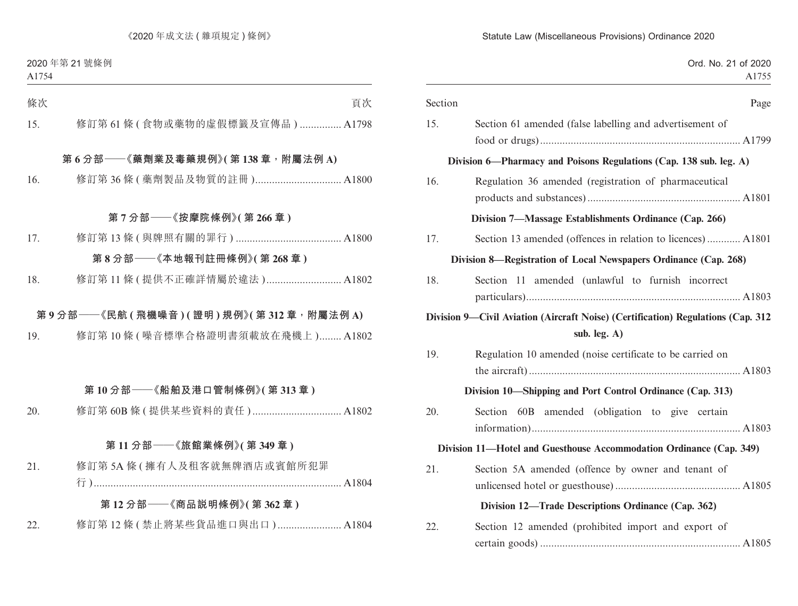|  |  | Ord. No. 21 of 2020 |
|--|--|---------------------|
|  |  | A1755               |

| Section | Page                                                                                                |
|---------|-----------------------------------------------------------------------------------------------------|
| 15.     | Section 61 amended (false labelling and advertisement of                                            |
|         | Division 6—Pharmacy and Poisons Regulations (Cap. 138 sub. leg. A)                                  |
| 16.     | Regulation 36 amended (registration of pharmaceutical                                               |
|         | Division 7—Massage Establishments Ordinance (Cap. 266)                                              |
| 17.     | Section 13 amended (offences in relation to licences) A1801                                         |
|         | Division 8—Registration of Local Newspapers Ordinance (Cap. 268)                                    |
| 18.     | Section 11 amended (unlawful to furnish incorrect                                                   |
|         | Division 9—Civil Aviation (Aircraft Noise) (Certification) Regulations (Cap. 312<br>sub. leg. $A$ ) |
| 19.     | Regulation 10 amended (noise certificate to be carried on                                           |
|         | Division 10—Shipping and Port Control Ordinance (Cap. 313)                                          |
| 20.     | Section 60B amended (obligation to give certain                                                     |
|         | Division 11—Hotel and Guesthouse Accommodation Ordinance (Cap. 349)                                 |
| 21.     | Section 5A amended (offence by owner and tenant of                                                  |
|         | Division 12—Trade Descriptions Ordinance (Cap. 362)                                                 |
| 22.     | Section 12 amended (prohibited import and export of                                                 |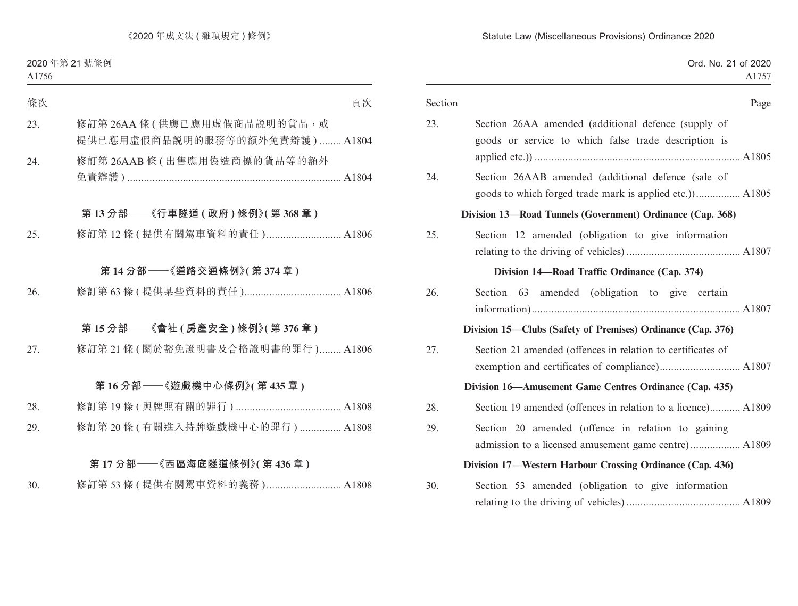|  |  | Ord. No. 21 of 2020 |
|--|--|---------------------|
|  |  | A1757               |

| Section | Page                                                                                                        |
|---------|-------------------------------------------------------------------------------------------------------------|
| 23.     | Section 26AA amended (additional defence (supply of<br>goods or service to which false trade description is |
| 24.     | Section 26AAB amended (additional defence (sale of                                                          |
|         | Division 13-Road Tunnels (Government) Ordinance (Cap. 368)                                                  |
| 25.     | Section 12 amended (obligation to give information                                                          |
|         | Division 14—Road Traffic Ordinance (Cap. 374)                                                               |
| 26.     | Section 63 amended (obligation to give certain                                                              |
|         | Division 15—Clubs (Safety of Premises) Ordinance (Cap. 376)                                                 |
| 27.     | Section 21 amended (offences in relation to certificates of                                                 |
|         | Division 16—Amusement Game Centres Ordinance (Cap. 435)                                                     |
| 28.     | Section 19 amended (offences in relation to a licence) A1809                                                |
| 29.     | Section 20 amended (offence in relation to gaining                                                          |
|         | Division 17—Western Harbour Crossing Ordinance (Cap. 436)                                                   |
| 30.     | Section 53 amended (obligation to give information                                                          |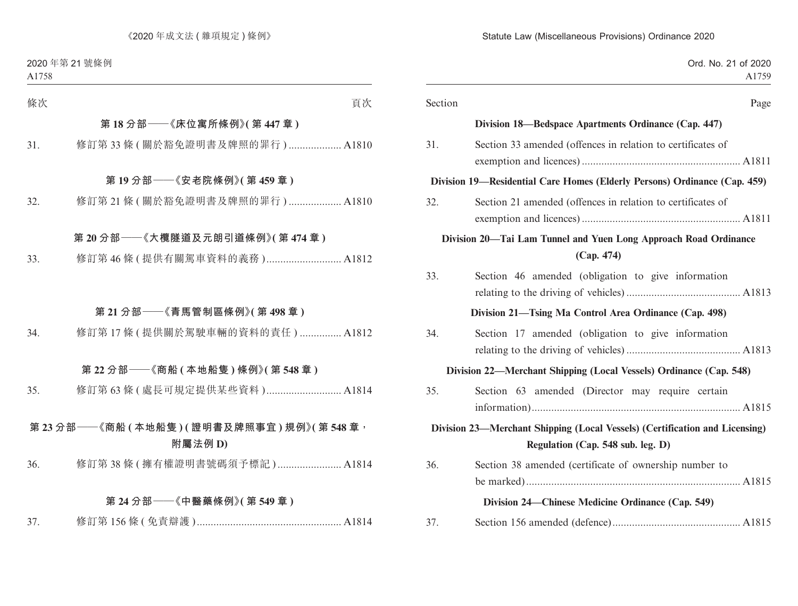| Ord. No. 21 of 2020                                                                                              |         |
|------------------------------------------------------------------------------------------------------------------|---------|
|                                                                                                                  | Section |
| Division 18—Bedspace Apartments Ordinance (Cap. 447)                                                             |         |
| Section 33 amended (offences in relation to certificates of                                                      | 31.     |
| Division 19—Residential Care Homes (Elderly Persons) Ordinance (Cap. 459)                                        |         |
| Section 21 amended (offences in relation to certificates of                                                      | 32.     |
| Division 20—Tai Lam Tunnel and Yuen Long Approach Road Ordinance<br>(Cap. 474)                                   |         |
| Section 46 amended (obligation to give information                                                               | 33.     |
| Division 21-Tsing Ma Control Area Ordinance (Cap. 498)                                                           |         |
| Section 17 amended (obligation to give information                                                               | 34.     |
| Division 22—Merchant Shipping (Local Vessels) Ordinance (Cap. 548)                                               |         |
| Section 63 amended (Director may require certain                                                                 | 35.     |
| Division 23—Merchant Shipping (Local Vessels) (Certification and Licensing)<br>Regulation (Cap. 548 sub. leg. D) |         |
| Section 38 amended (certificate of ownership number to                                                           | 36.     |
| Division 24—Chinese Medicine Ordinance (Cap. 549)                                                                |         |
|                                                                                                                  | 37.     |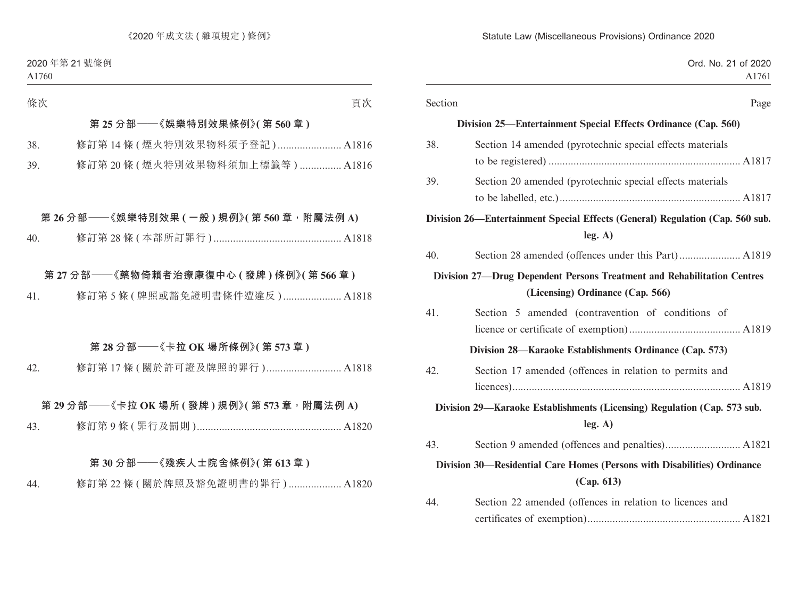| Ord. No. 21 of 2020<br>A1761                                                                                |         |
|-------------------------------------------------------------------------------------------------------------|---------|
| Page                                                                                                        | Section |
| Division 25—Entertainment Special Effects Ordinance (Cap. 560)                                              |         |
| Section 14 amended (pyrotechnic special effects materials                                                   | 38.     |
| Section 20 amended (pyrotechnic special effects materials                                                   | 39.     |
| Division 26—Entertainment Special Effects (General) Regulation (Cap. 560 sub.<br>leg. A)                    |         |
|                                                                                                             | 40.     |
| Division 27-Drug Dependent Persons Treatment and Rehabilitation Centres<br>(Licensing) Ordinance (Cap. 566) |         |
| Section 5 amended (contravention of conditions of                                                           | 41.     |
| Division 28—Karaoke Establishments Ordinance (Cap. 573)                                                     |         |
| Section 17 amended (offences in relation to permits and                                                     | 42.     |
| Division 29—Karaoke Establishments (Licensing) Regulation (Cap. 573 sub.<br>leg. A)                         |         |
|                                                                                                             | 43.     |
| Division 30—Residential Care Homes (Persons with Disabilities) Ordinance<br>(Cap. 613)                      |         |
| Section 22 amended (offences in relation to licences and                                                    | 44.     |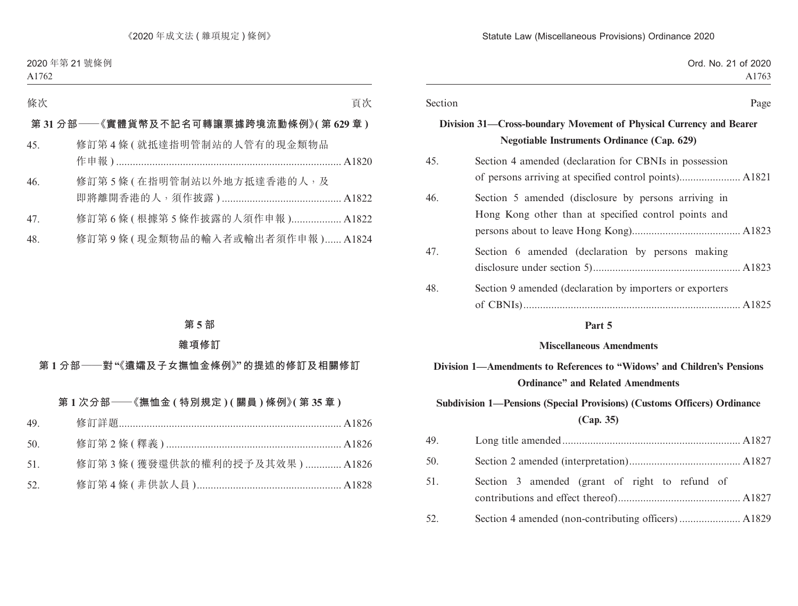| Ord. No. 21 of 2020<br>A1763                                                                                              |         |
|---------------------------------------------------------------------------------------------------------------------------|---------|
| Page                                                                                                                      | Section |
| Division 31—Cross-boundary Movement of Physical Currency and Bearer<br><b>Negotiable Instruments Ordinance (Cap. 629)</b> |         |
| Section 4 amended (declaration for CBNIs in possession                                                                    | 45.     |
| Section 5 amended (disclosure by persons arriving in<br>Hong Kong other than at specified control points and              | 46.     |
| Section 6 amended (declaration by persons making                                                                          | 47.     |
| Section 9 amended (declaration by importers or exporters                                                                  | 48.     |

#### **Part 5**

#### **Miscellaneous Amendments**

## **Division 1—Amendments to References to "Widows' and Children's Pensions Ordinance" and Related Amendments**

## **Subdivision 1—Pensions (Special Provisions) (Customs Officers) Ordinance (Cap. 35)**

| 49. |                                                |  |
|-----|------------------------------------------------|--|
| 50. |                                                |  |
| 51. | Section 3 amended (grant of right to refund of |  |
| 52. |                                                |  |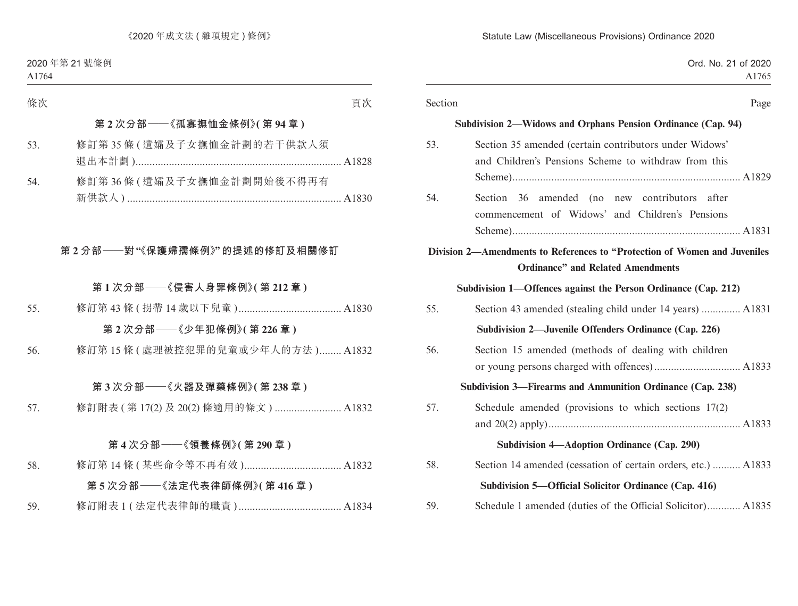|  |  | Ord. No. 21 of 2020 |
|--|--|---------------------|
|  |  | A <sub>1765</sub>   |

| Section | Page                                                                                                                   |
|---------|------------------------------------------------------------------------------------------------------------------------|
|         | Subdivision 2—Widows and Orphans Pension Ordinance (Cap. 94)                                                           |
| 53.     | Section 35 amended (certain contributors under Widows'<br>and Children's Pensions Scheme to withdraw from this         |
|         |                                                                                                                        |
| 54.     | Section 36 amended (no new contributors after<br>commencement of Widows' and Children's Pensions                       |
|         |                                                                                                                        |
|         | Division 2—Amendments to References to "Protection of Women and Juveniles"<br><b>Ordinance" and Related Amendments</b> |
|         |                                                                                                                        |
|         | Subdivision 1—Offences against the Person Ordinance (Cap. 212)                                                         |
| 55.     | Section 43 amended (stealing child under 14 years)  A1831                                                              |
|         | Subdivision 2—Juvenile Offenders Ordinance (Cap. 226)                                                                  |
| 56.     | Section 15 amended (methods of dealing with children                                                                   |
|         | Subdivision 3—Firearms and Ammunition Ordinance (Cap. 238)                                                             |
| 57.     | Schedule amended (provisions to which sections $17(2)$ )                                                               |
|         | Subdivision 4—Adoption Ordinance (Cap. 290)                                                                            |
| 58.     | Section 14 amended (cessation of certain orders, etc.)  A1833                                                          |
|         | Subdivision 5—Official Solicitor Ordinance (Cap. 416)                                                                  |
| 59.     | Schedule 1 amended (duties of the Official Solicitor) A1835                                                            |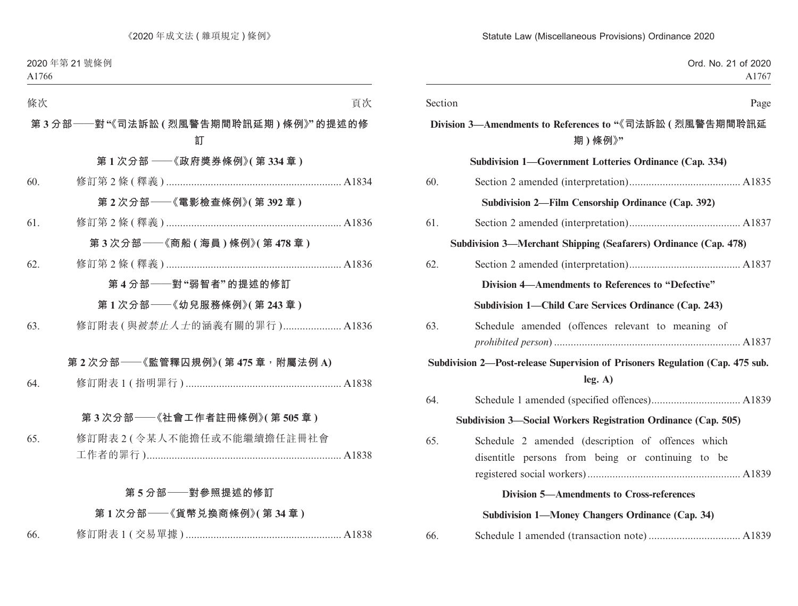| Ord. No. 21 of 2020<br>A1767                                                  |         |
|-------------------------------------------------------------------------------|---------|
| Page                                                                          | Section |
| Division 3—Amendments to References to "《司法訴訟 ( 烈風警告期間聆訊延<br>期)條例》"           |         |
| Subdivision 1—Government Lotteries Ordinance (Cap. 334)                       |         |
|                                                                               | 60.     |
| Subdivision 2—Film Censorship Ordinance (Cap. 392)                            |         |
|                                                                               | 61.     |
| Subdivision 3—Merchant Shipping (Seafarers) Ordinance (Cap. 478)              |         |
|                                                                               | 62.     |
| Division 4—Amendments to References to "Defective"                            |         |
| Subdivision 1—Child Care Services Ordinance (Cap. 243)                        |         |
| Schedule amended (offences relevant to meaning of                             | 63.     |
|                                                                               |         |
| Subdivision 2-Post-release Supervision of Prisoners Regulation (Cap. 475 sub. |         |
| leg. A)                                                                       |         |
|                                                                               | 64.     |
| Subdivision 3-Social Workers Registration Ordinance (Cap. 505)                |         |
| Schedule 2 amended (description of offences which                             | 65.     |
| disentitle persons from being or continuing to be                             |         |
|                                                                               |         |
| <b>Division 5-Amendments to Cross-references</b>                              |         |
| Subdivision 1—Money Changers Ordinance (Cap. 34)                              |         |
|                                                                               | 66.     |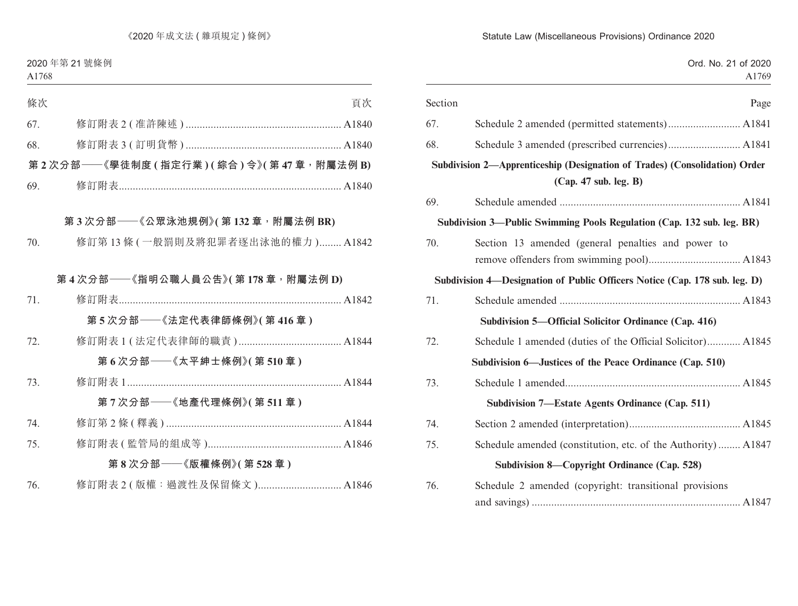| Ord. No. 21 of 2020<br>A1769                                                                        |         |
|-----------------------------------------------------------------------------------------------------|---------|
| Page                                                                                                | Section |
|                                                                                                     | 67.     |
|                                                                                                     | 68.     |
| Subdivision 2-Apprenticeship (Designation of Trades) (Consolidation) Order<br>(Cap. 47 sub. leg. B) |         |
|                                                                                                     | 69.     |
| Subdivision 3—Public Swimming Pools Regulation (Cap. 132 sub. leg. BR)                              |         |
| Section 13 amended (general penalties and power to                                                  | 70.     |
|                                                                                                     |         |
| Subdivision 4-Designation of Public Officers Notice (Cap. 178 sub. leg. D)                          |         |
|                                                                                                     | 71.     |
| Subdivision 5—Official Solicitor Ordinance (Cap. 416)                                               |         |
| Schedule 1 amended (duties of the Official Solicitor) A1845                                         | 72.     |
| Subdivision 6—Justices of the Peace Ordinance (Cap. 510)                                            |         |
|                                                                                                     | 73.     |
| Subdivision 7—Estate Agents Ordinance (Cap. 511)                                                    |         |
|                                                                                                     | 74.     |
| Schedule amended (constitution, etc. of the Authority) A1847                                        | 75.     |
| Subdivision 8—Copyright Ordinance (Cap. 528)                                                        |         |
| Schedule 2 amended (copyright: transitional provisions                                              | 76.     |
|                                                                                                     |         |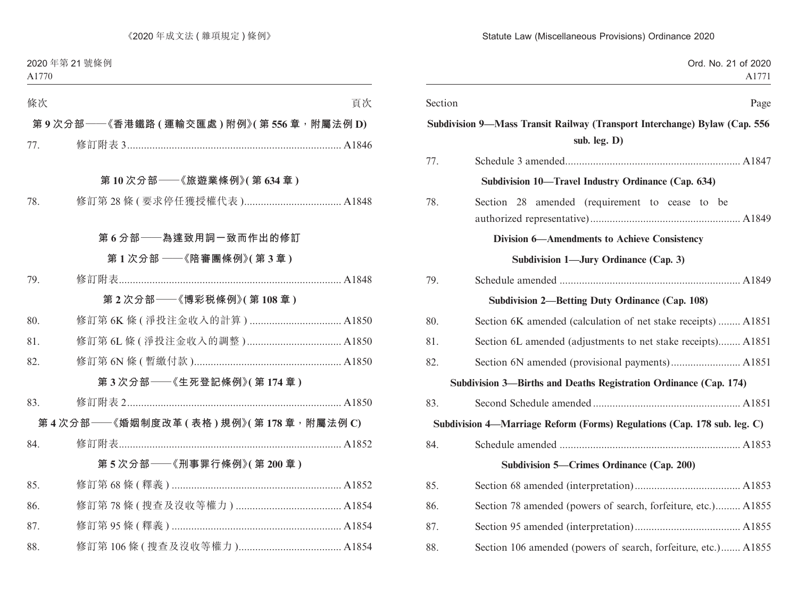| Ord. No. 21 of 2020<br>A1771                                               |         |
|----------------------------------------------------------------------------|---------|
| Page                                                                       | Section |
| Subdivision 9-Mass Transit Railway (Transport Interchange) Bylaw (Cap. 556 |         |
| sub. leg. D)                                                               |         |
|                                                                            | 77.     |
| Subdivision 10—Travel Industry Ordinance (Cap. 634)                        |         |
| Section 28 amended (requirement to cease to be                             | 78.     |
|                                                                            |         |
| <b>Division 6—Amendments to Achieve Consistency</b>                        |         |
| Subdivision 1—Jury Ordinance (Cap. 3)                                      |         |
|                                                                            | 79.     |
| <b>Subdivision 2—Betting Duty Ordinance (Cap. 108)</b>                     |         |
| Section 6K amended (calculation of net stake receipts)  A1851              | 80.     |
| Section 6L amended (adjustments to net stake receipts) A1851               | 81.     |
|                                                                            | 82.     |
| Subdivision 3—Births and Deaths Registration Ordinance (Cap. 174)          |         |
|                                                                            | 83.     |
| Subdivision 4—Marriage Reform (Forms) Regulations (Cap. 178 sub. leg. C)   |         |
|                                                                            | 84.     |
| Subdivision 5-Crimes Ordinance (Cap. 200)                                  |         |
|                                                                            | 85.     |
| Section 78 amended (powers of search, forfeiture, etc.) A1855              | 86.     |
|                                                                            | 87.     |
| Section 106 amended (powers of search, forfeiture, etc.) A1855             | 88.     |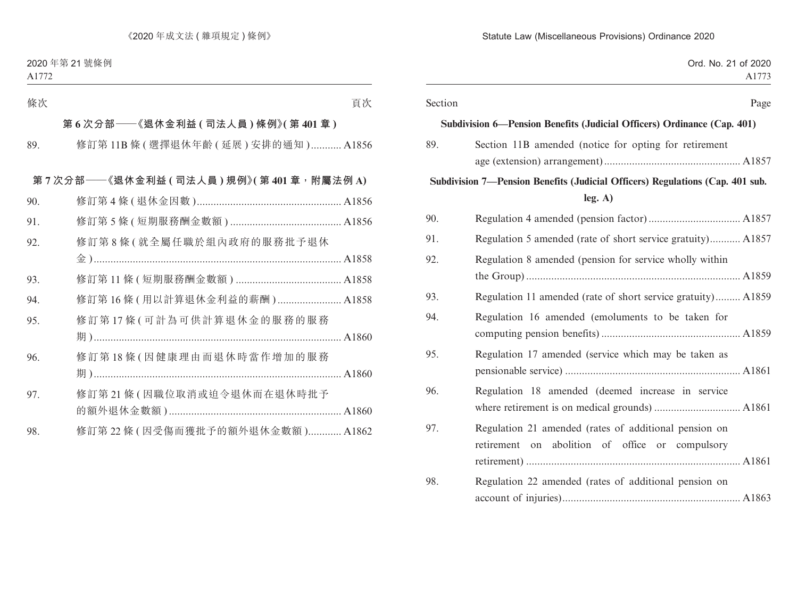| Section |                                                                                                          | Page |
|---------|----------------------------------------------------------------------------------------------------------|------|
|         | Subdivision 6—Pension Benefits (Judicial Officers) Ordinance (Cap. 401)                                  |      |
| 89.     | Section 11B amended (notice for opting for retirement                                                    |      |
|         | Subdivision 7—Pension Benefits (Judicial Officers) Regulations (Cap. 401 sub.<br>leg. A)                 |      |
| 90.     |                                                                                                          |      |
| 91.     | Regulation 5 amended (rate of short service gratuity) A1857                                              |      |
|         | Regulation 8 amended (pension for service wholly within                                                  |      |
| 93.     | Regulation 11 amended (rate of short service gratuity) A1859                                             |      |
|         | Regulation 16 amended (emoluments to be taken for                                                        |      |
| 95.     | Regulation 17 amended (service which may be taken as                                                     |      |
| 96.     | Regulation 18 amended (deemed increase in service                                                        |      |
| 97.     | Regulation 21 amended (rates of additional pension on<br>retirement on abolition of office or compulsory |      |
|         | Regulation 22 amended (rates of additional pension on                                                    |      |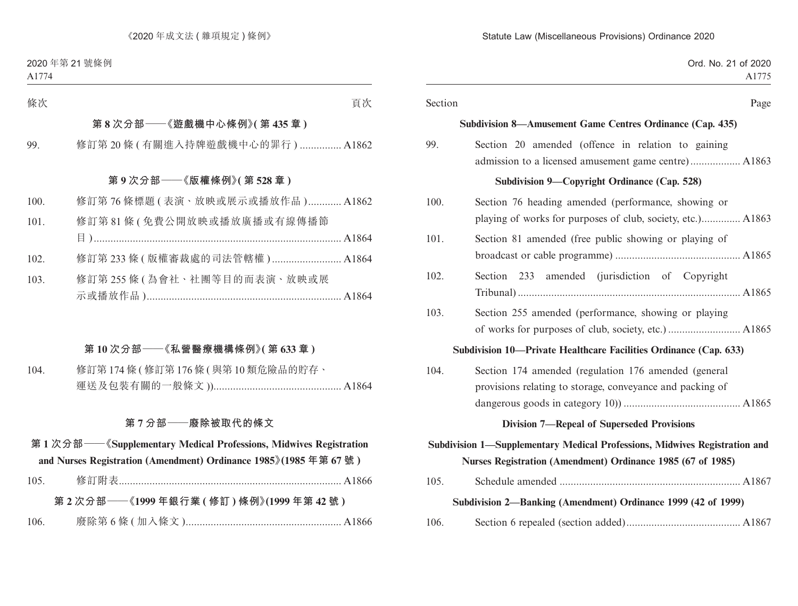| Ord. No. 21 of 2020<br>A1775                                                                                                              |         |
|-------------------------------------------------------------------------------------------------------------------------------------------|---------|
| Page                                                                                                                                      | Section |
| Subdivision 8—Amusement Game Centres Ordinance (Cap. 435)                                                                                 |         |
| Section 20 amended (offence in relation to gaining<br>admission to a licensed amusement game centre) A1863                                | 99.     |
| Subdivision 9—Copyright Ordinance (Cap. 528)                                                                                              |         |
| Section 76 heading amended (performance, showing or<br>playing of works for purposes of club, society, etc.) A1863                        | 100.    |
| Section 81 amended (free public showing or playing of                                                                                     | 101.    |
| Section 233 amended (jurisdiction of Copyright                                                                                            | 102.    |
| Section 255 amended (performance, showing or playing                                                                                      | 103.    |
| Subdivision 10—Private Healthcare Facilities Ordinance (Cap. 633)                                                                         |         |
| Section 174 amended (regulation 176 amended (general<br>provisions relating to storage, conveyance and packing of                         | 104.    |
| <b>Division 7-Repeal of Superseded Provisions</b>                                                                                         |         |
| Subdivision 1-Supplementary Medical Professions, Midwives Registration and<br>Nurses Registration (Amendment) Ordinance 1985 (67 of 1985) |         |
|                                                                                                                                           | 105.    |
| Subdivision 2—Banking (Amendment) Ordinance 1999 (42 of 1999)                                                                             |         |
|                                                                                                                                           | 106.    |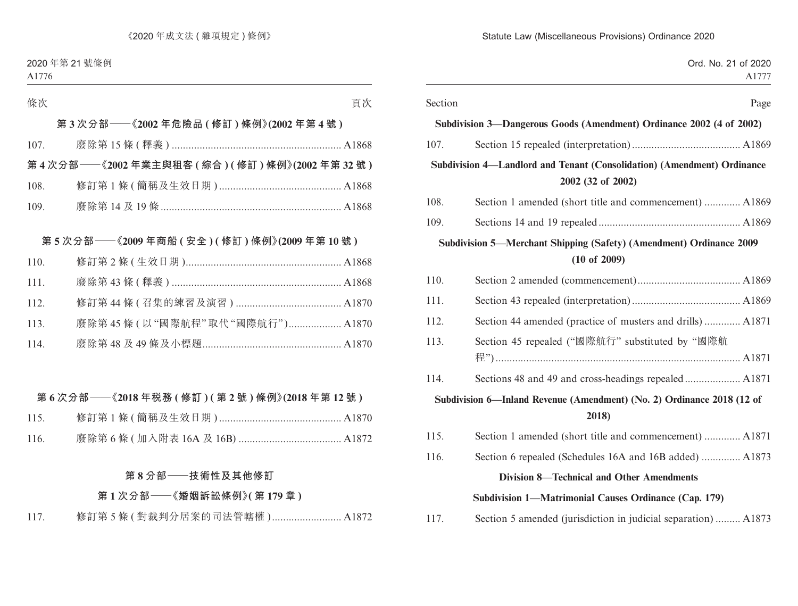| Ord. No. 21 of 2020                                                                                   |         |
|-------------------------------------------------------------------------------------------------------|---------|
|                                                                                                       |         |
|                                                                                                       | Section |
| Subdivision 3—Dangerous Goods (Amendment) Ordinance 2002 (4 of 2002)                                  |         |
|                                                                                                       | 107.    |
| Subdivision 4-Landlord and Tenant (Consolidation) (Amendment) Ordinance<br>2002 (32 of 2002)          |         |
| Section 1 amended (short title and commencement)  A1869                                               | 108.    |
|                                                                                                       | 109.    |
| <b>Subdivision 5—Merchant Shipping (Safety) (Amendment) Ordinance 2009</b><br>$(10 \text{ of } 2009)$ |         |
|                                                                                                       | 110.    |
|                                                                                                       | 111.    |
| Section 44 amended (practice of musters and drills)  A1871                                            | 112.    |
| Section 45 repealed ("國際航行" substituted by "國際航                                                       | 113.    |
|                                                                                                       | 114.    |
| Subdivision 6—Inland Revenue (Amendment) (No. 2) Ordinance 2018 (12 of<br>2018)                       |         |
| Section 1 amended (short title and commencement)  A1871                                               | 115.    |
| Section 6 repealed (Schedules 16A and 16B added)  A1873                                               | 116.    |
| <b>Division 8—Technical and Other Amendments</b>                                                      |         |
| Subdivision 1—Matrimonial Causes Ordinance (Cap. 179)                                                 |         |
| Section 5 amended (jurisdiction in judicial separation)  A1873                                        | 117.    |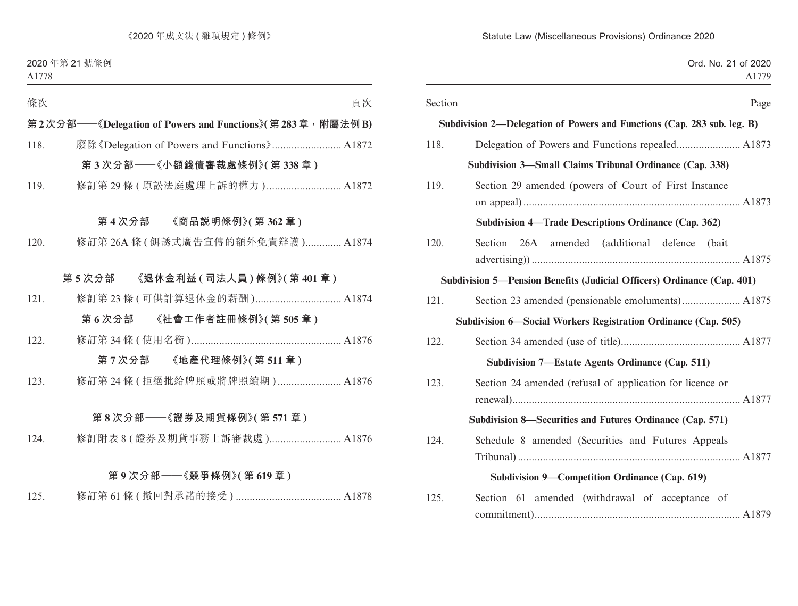| Ord. No. 21 of 2020<br>A1779                                            |         |
|-------------------------------------------------------------------------|---------|
| Page                                                                    | Section |
| Subdivision 2—Delegation of Powers and Functions (Cap. 283 sub. leg. B) |         |
|                                                                         | 118.    |
| Subdivision 3—Small Claims Tribunal Ordinance (Cap. 338)                |         |
| Section 29 amended (powers of Court of First Instance)                  | 119.    |
| Subdivision 4—Trade Descriptions Ordinance (Cap. 362)                   |         |
| Section 26A amended (additional defence (bait                           | 120.    |
| Subdivision 5—Pension Benefits (Judicial Officers) Ordinance (Cap. 401) |         |
|                                                                         | 121.    |
| Subdivision 6—Social Workers Registration Ordinance (Cap. 505)          |         |
|                                                                         | 122.    |
| Subdivision 7—Estate Agents Ordinance (Cap. 511)                        |         |
| Section 24 amended (refusal of application for licence or               | 123.    |
| Subdivision 8—Securities and Futures Ordinance (Cap. 571)               |         |
| Schedule 8 amended (Securities and Futures Appeals                      | 124.    |
| Subdivision 9—Competition Ordinance (Cap. 619)                          |         |
| Section 61 amended (withdrawal of acceptance of                         | 125.    |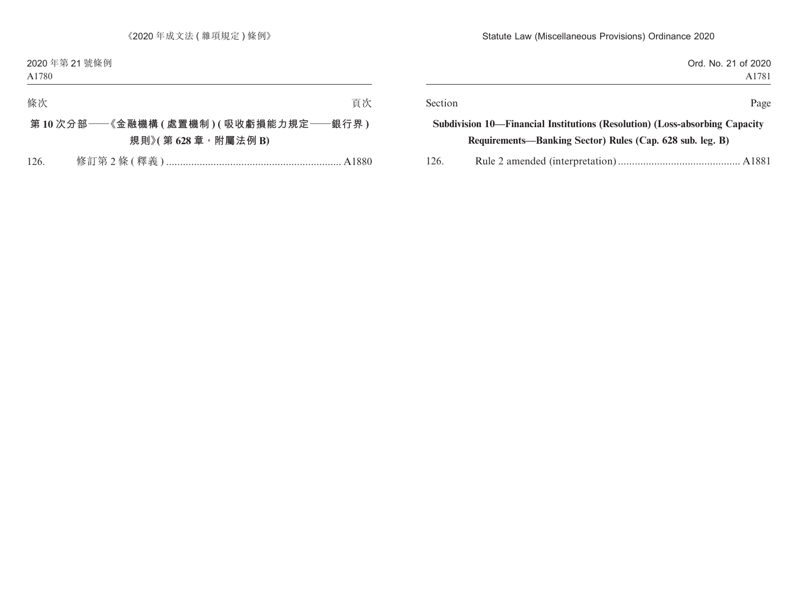| Ord. No. 21 of 2020<br>A1781 |                                                                             |         |
|------------------------------|-----------------------------------------------------------------------------|---------|
| Page                         |                                                                             | Section |
|                              | Subdivision 10—Financial Institutions (Resolution) (Loss-absorbing Capacity |         |
|                              | Requirements—Banking Sector) Rules (Cap. 628 sub. leg. B)                   |         |
|                              |                                                                             | 126.    |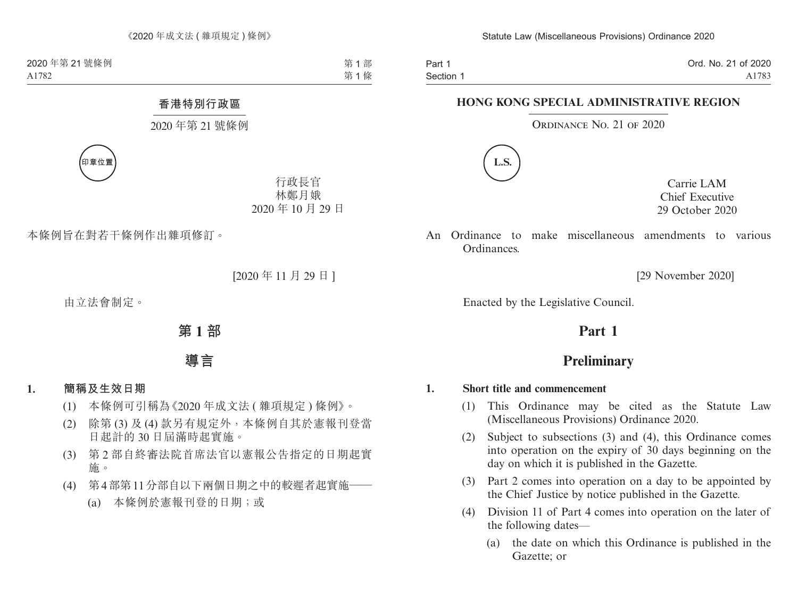Part 1 Section 1 Ord. No. 21 of 2020 A1783

### **HONG KONG SPECIAL ADMINISTRATIVE REGION**

ORDINANCE NO. 21 OF 2020



Carrie LAM Chief Executive 29 October 2020

An Ordinance to make miscellaneous amendments to various Ordinances.

[29 November 2020]

Enacted by the Legislative Council.

## **Part 1**

## **Preliminary**

### **1. Short title and commencement**

- (1) This Ordinance may be cited as the Statute Law (Miscellaneous Provisions) Ordinance 2020.
- (2) Subject to subsections (3) and (4), this Ordinance comes into operation on the expiry of 30 days beginning on the day on which it is published in the Gazette.
- (3) Part 2 comes into operation on a day to be appointed by the Chief Justice by notice published in the Gazette.
- (4) Division 11 of Part 4 comes into operation on the later of the following dates—
	- (a) the date on which this Ordinance is published in the Gazette; or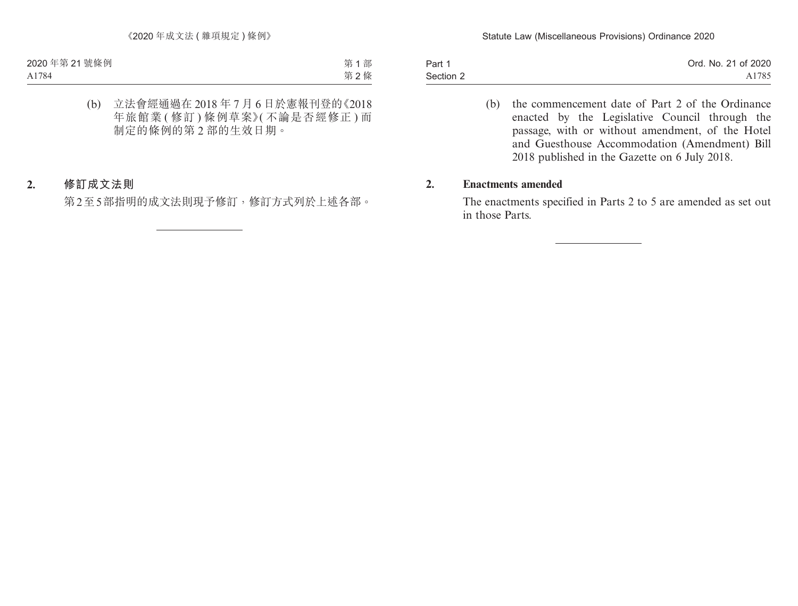| Part 1    | Ord. No. 21 of 2020 |
|-----------|---------------------|
| Section 2 | A1785               |

(b) the commencement date of Part 2 of the Ordinance enacted by the Legislative Council through the passage, with or without amendment, of the Hotel and Guesthouse Accommodation (Amendment) Bill 2018 published in the Gazette on 6 July 2018.

#### **2. Enactments amended**

The enactments specified in Parts 2 to 5 are amended as set out in those Parts.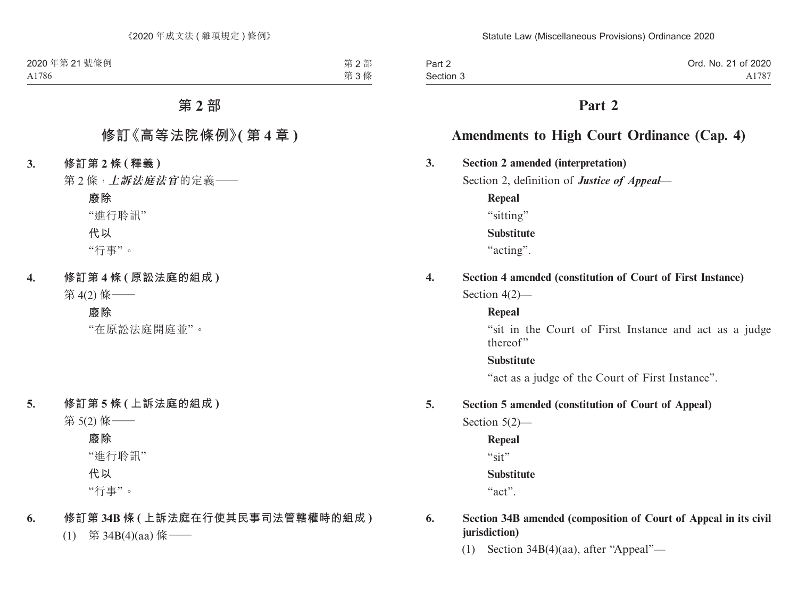| Part 2    | Ord. No. 21 of 2020 |
|-----------|---------------------|
| Section 3 | A1787               |

## **Part 2**

## **Amendments to High Court Ordinance (Cap. 4)**

### **3. Section 2 amended (interpretation)**

Section 2, definition of *Justice of Appeal*—

**Repeal** "sitting" **Substitute** "acting".

# **4. Section 4 amended (constitution of Court of First Instance)**

Section 4(2)—

### **Repeal**

"sit in the Court of First Instance and act as a judge thereof"

### **Substitute**

"act as a judge of the Court of First Instance".

### **5. Section 5 amended (constitution of Court of Appeal)**

Section 5(2)—

**Repeal**

"sit"

### **Substitute**

"act".

### **6. Section 34B amended (composition of Court of Appeal in its civil jurisdiction)**

(1) Section 34B(4)(aa), after "Appeal"—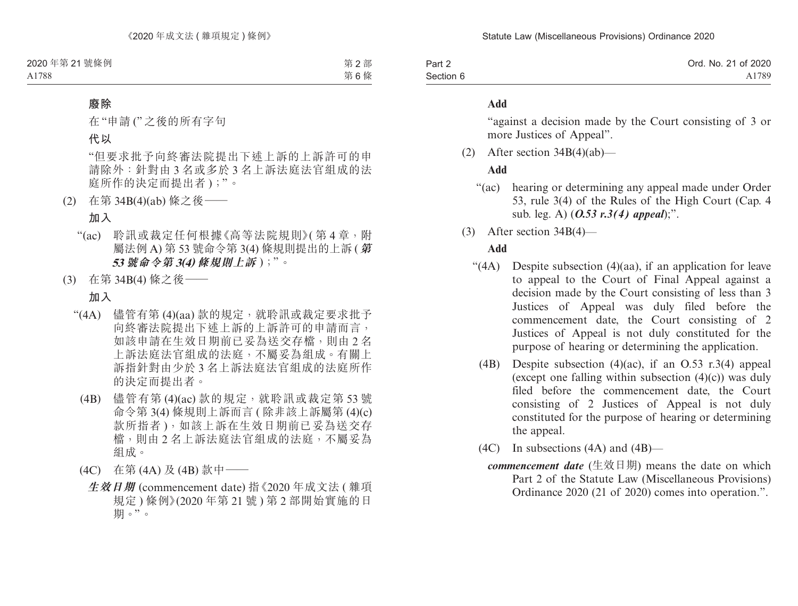| Part 2    | Ord. No. 21 of 2020 |
|-----------|---------------------|
| Section 6 | A1789               |

#### **Add**

"against a decision made by the Court consisting of 3 or more Justices of Appeal".

(2) After section  $34B(4)(ab)$ —

#### **Add**

- "(ac) hearing or determining any appeal made under Order 53, rule 3(4) of the Rules of the High Court (Cap. 4 sub. leg. A) (*O.53 r.3(4) appeal*);".
- (3) After section 34B(4)—

### **Add**

- "(4A) Despite subsection (4)(aa), if an application for leave to appeal to the Court of Final Appeal against a decision made by the Court consisting of less than 3 Justices of Appeal was duly filed before the commencement date, the Court consisting of 2 Justices of Appeal is not duly constituted for the purpose of hearing or determining the application.
	- (4B) Despite subsection (4)(ac), if an O.53 r.3(4) appeal (except one falling within subsection  $(4)(c)$ ) was duly filed before the commencement date, the Court consisting of 2 Justices of Appeal is not duly constituted for the purpose of hearing or determining the appeal.
	- (4C) In subsections (4A) and (4B)
		- *commencement date* (生效日期) means the date on which Part 2 of the Statute Law (Miscellaneous Provisions) Ordinance 2020 (21 of 2020) comes into operation.".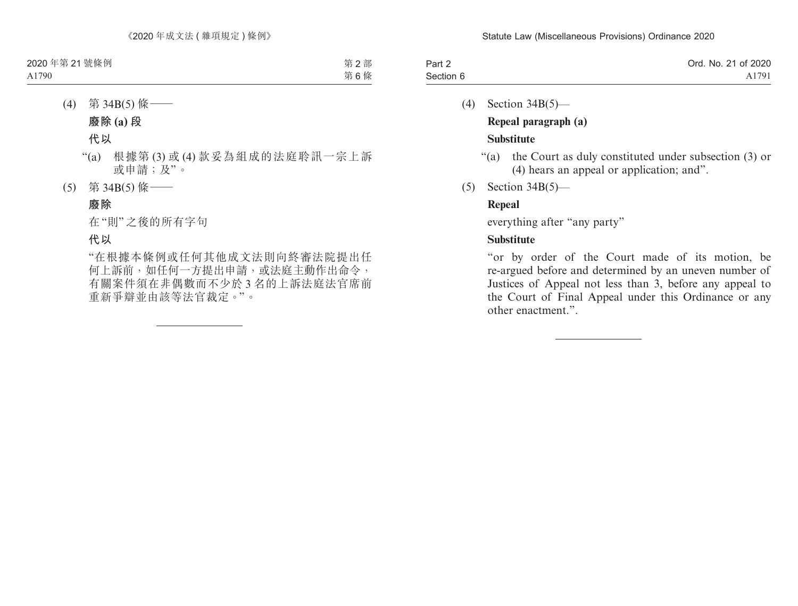| Part 2    | Ord. No. 21 of 2020 |
|-----------|---------------------|
| Section 6 | A1791               |

- (4) Section 34B(5)— **Repeal paragraph (a) Substitute**
	- "(a) the Court as duly constituted under subsection (3) or (4) hears an appeal or application; and".
- (5) Section 34B(5)—

### **Repeal**

everything after "any party"

### **Substitute**

"or by order of the Court made of its motion, be re-argued before and determined by an uneven number of Justices of Appeal not less than 3, before any appeal to the Court of Final Appeal under this Ordinance or any other enactment.".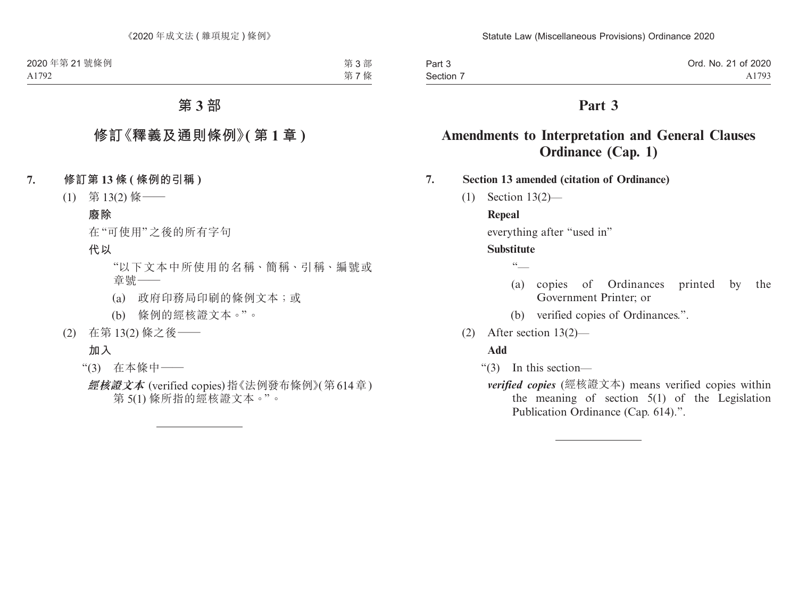| Part 3    | Ord. No. 21 of 2020 |
|-----------|---------------------|
| Section 7 | A1793               |

## **Part 3**

## **Amendments to Interpretation and General Clauses Ordinance (Cap. 1)**

**7. Section 13 amended (citation of Ordinance)**

(1) Section 13(2)—

#### **Repeal**

everything after "used in"

#### **Substitute**

 $\sqrt{6}$ 

- (a) copies of Ordinances printed by the Government Printer; or
- (b) verified copies of Ordinances.".
- (2) After section 13(2)—

#### **Add**

- "(3) In this section
	- *verified copies* (經核證文本) means verified copies within the meaning of section 5(1) of the Legislation Publication Ordinance (Cap. 614).".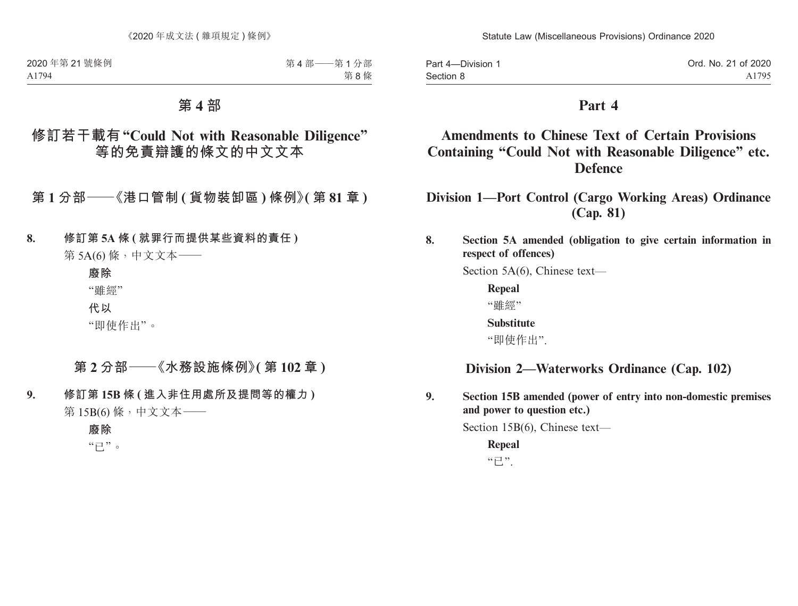Part 4—Division 1 Section 8 Ord. No. 21 of 2020 A1795

## **Part 4**

## **Amendments to Chinese Text of Certain Provisions Containing "Could Not with Reasonable Diligence" etc. Defence**

**Division 1—Port Control (Cargo Working Areas) Ordinance (Cap. 81)**

### **8. Section 5A amended (obligation to give certain information in respect of offences)**

Section 5A(6), Chinese text—

**Repeal** "雖經"

**Substitute**

"即使作出".

## **Division 2—Waterworks Ordinance (Cap. 102)**

**9. Section 15B amended (power of entry into non-domestic premises and power to question etc.)**

Section 15B(6), Chinese text—

**Repeal**  $"E"$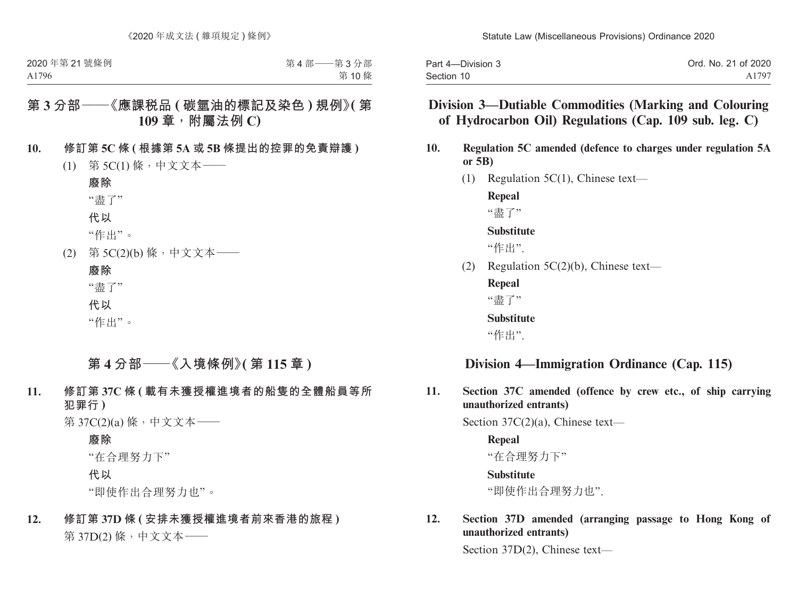| Part 4-Division 3 | Ord. No. 21 of 2020 |
|-------------------|---------------------|
| Section 10        | A1797               |

## **Division 3—Dutiable Commodities (Marking and Colouring of Hydrocarbon Oil) Regulations (Cap. 109 sub. leg. C)**

- **10. Regulation 5C amended (defence to charges under regulation 5A or 5B)**
	- (1) Regulation 5C(1), Chinese text—

**Repeal**

"毒了"

#### **Substitute**

"作出".

(2) Regulation 5C(2)(b), Chinese text—

**Repeal** "盡了"

**Substitute**

"作出".

### **Division 4—Immigration Ordinance (Cap. 115)**

**11. Section 37C amended (offence by crew etc., of ship carrying unauthorized entrants)**

Section 37C(2)(a), Chinese text—

**Repeal** "在合理努力下"

**Substitute**

"即使作出合理努力也".

### **12. Section 37D amended (arranging passage to Hong Kong of unauthorized entrants)**

Section 37D(2), Chinese text—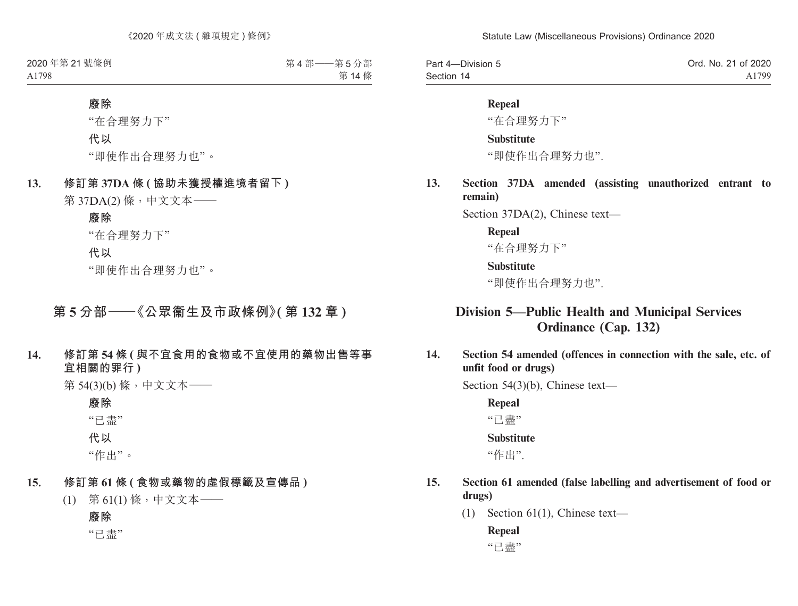| Part 4-Division 5 | Ord. No. 21 of 2020 |
|-------------------|---------------------|
| Section 14        | A1799               |

#### **Repeal**

"在合理努力下"

#### **Substitute**

"即使作出合理努力也".

**13. Section 37DA amended (assisting unauthorized entrant to remain)**

Section 37DA(2), Chinese text—

#### **Repeal**

"在合理努力下"

#### **Substitute**

"即使作出合理努力也".

## **Division 5—Public Health and Municipal Services Ordinance (Cap. 132)**

**14. Section 54 amended (offences in connection with the sale, etc. of unfit food or drugs)**

Section 54(3)(b), Chinese text—

**Repeal**

"已盡"

#### **Substitute**

"作出".

- **15. Section 61 amended (false labelling and advertisement of food or drugs)**
	- (1) Section 61(1), Chinese text—

### **Repeal**

"已盡"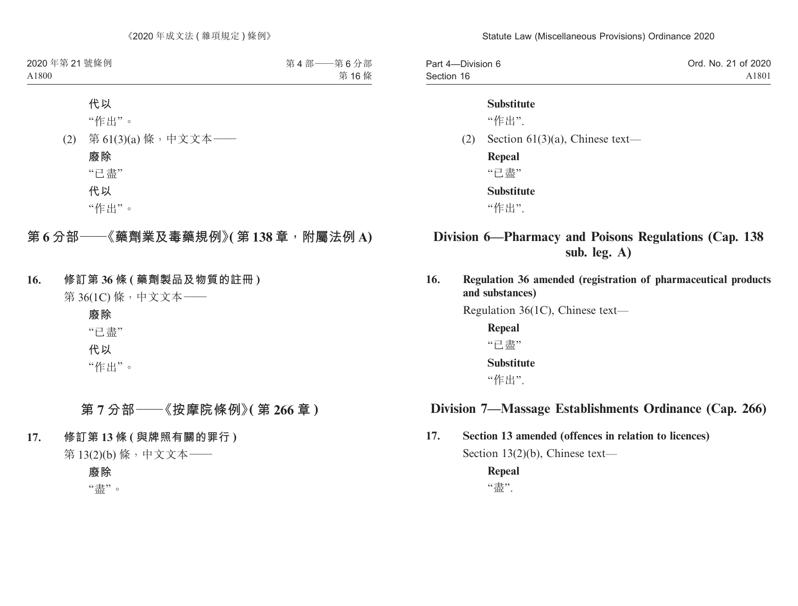| Part 4-Division 6 | Ord. No. 21 of 2020 |
|-------------------|---------------------|
| Section 16        | A1801               |

#### **Substitute**

"作出".

(2) Section 61(3)(a), Chinese text—

**Repeal**

"已盡"

**Substitute**

"作出".

## **Division 6—Pharmacy and Poisons Regulations (Cap. 138 sub. leg. A)**

**16. Regulation 36 amended (registration of pharmaceutical products and substances)**

Regulation 36(1C), Chinese text—

**Repeal** "已盡" **Substitute**

"作出".

## **Division 7—Massage Establishments Ordinance (Cap. 266)**

**17. Section 13 amended (offences in relation to licences)**

Section 13(2)(b), Chinese text—

**Repeal** "盡".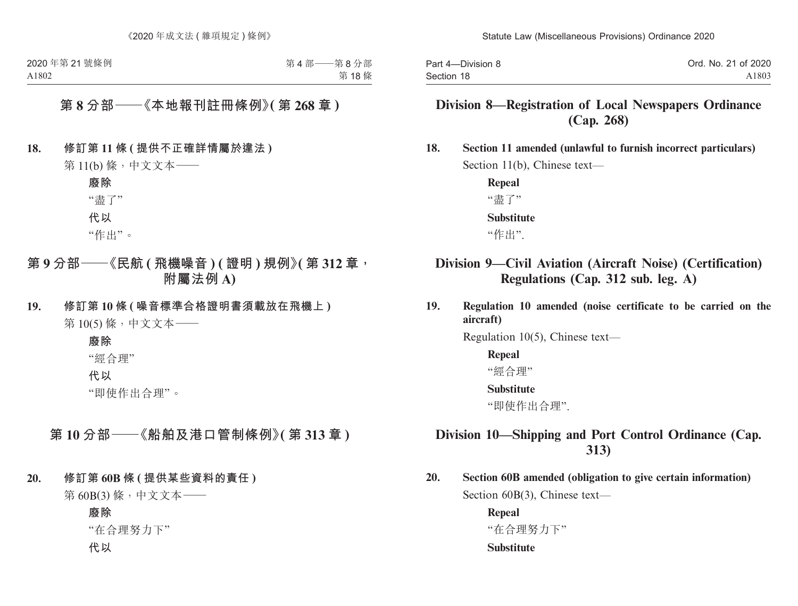| Part 4-Division 8 | Ord. No. 21 of 2020 |
|-------------------|---------------------|
| Section 18        | A1803               |

## **Division 8—Registration of Local Newspapers Ordinance (Cap. 268)**

**18. Section 11 amended (unlawful to furnish incorrect particulars)** Section 11(b), Chinese text—

> **Repeal**  "盡了" **Substitute** "作出".

## **Division 9—Civil Aviation (Aircraft Noise) (Certification) Regulations (Cap. 312 sub. leg. A)**

**19. Regulation 10 amended (noise certificate to be carried on the aircraft)**

Regulation 10(5), Chinese text—

#### **Repeal**

"經合理"

#### **Substitute**

"即使作出合理".

## **Division 10—Shipping and Port Control Ordinance (Cap. 313)**

**20. Section 60B amended (obligation to give certain information)** Section 60B(3), Chinese text—

> **Repeal** "在合理努力下" **Substitute**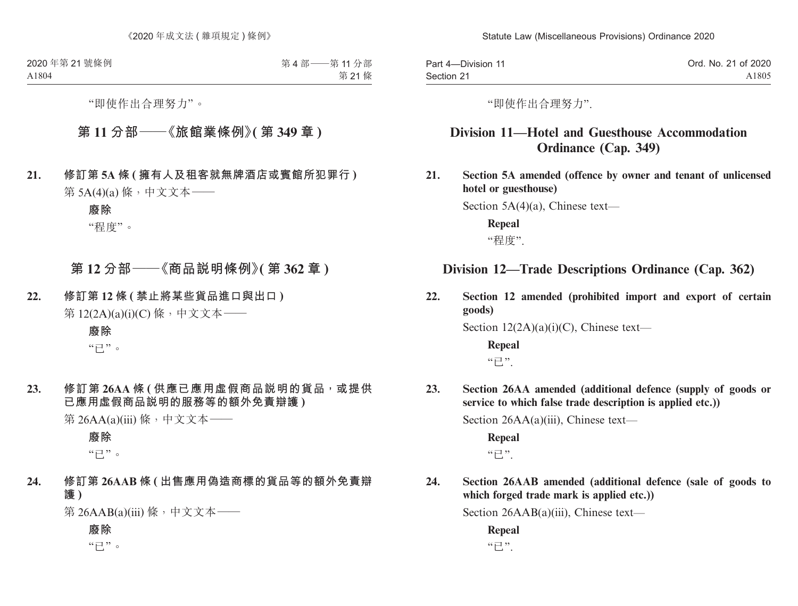| Part 4-Division 11 | Ord. No. 21 of 2020 |
|--------------------|---------------------|
| Section 21         | A1805               |

"即使作出合理努力".

## **Division 11—Hotel and Guesthouse Accommodation Ordinance (Cap. 349)**

**21. Section 5A amended (offence by owner and tenant of unlicensed hotel or guesthouse)**

Section 5A(4)(a), Chinese text—

**Repeal** "程度".

## **Division 12—Trade Descriptions Ordinance (Cap. 362)**

**22. Section 12 amended (prohibited import and export of certain goods)**

Section  $12(2A)(a)(i)(C)$ , Chinese text—

**Repeal**  $"E"$ 

**23. Section 26AA amended (additional defence (supply of goods or service to which false trade description is applied etc.))**

Section 26AA(a)(iii), Chinese text—

**Repeal**  $"E"$ 

**24. Section 26AAB amended (additional defence (sale of goods to which forged trade mark is applied etc.))**

Section 26AAB(a)(iii), Chinese text—

**Repeal**  $"E"$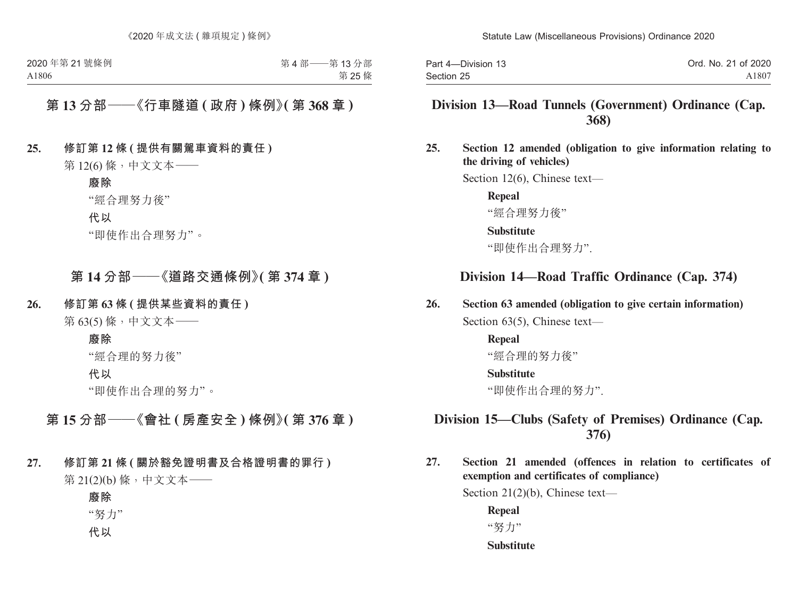| Part 4-Division 13 | Ord. No. 21 of 2020 |
|--------------------|---------------------|
| Section 25         | A1807               |

## **Division 13—Road Tunnels (Government) Ordinance (Cap. 368)**

**25. Section 12 amended (obligation to give information relating to the driving of vehicles)**

Section 12(6), Chinese text—

**Repeal** "經合理努力後"

#### **Substitute**

"即使作出合理努力".

## **Division 14—Road Traffic Ordinance (Cap. 374)**

### **26. Section 63 amended (obligation to give certain information)**

Section 63(5), Chinese text—

#### **Repeal** "經合理的努力後"

### **Substitute**

"即使作出合理的努力".

## **Division 15—Clubs (Safety of Premises) Ordinance (Cap. 376)**

**27. Section 21 amended (offences in relation to certificates of exemption and certificates of compliance)**

Section 21(2)(b), Chinese text—

**Repeal** "努力"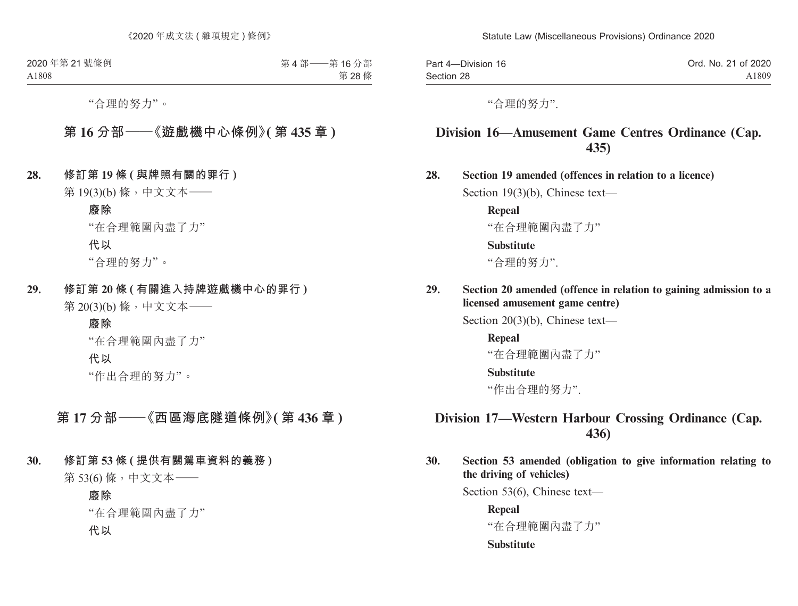| Part 4-Division 16 | Ord. No. 21 of 2020 |
|--------------------|---------------------|
| Section 28         | A1809               |

"合理的努力".

## **Division 16—Amusement Game Centres Ordinance (Cap. 435)**

**28. Section 19 amended (offences in relation to a licence)**

Section 19(3)(b), Chinese text—

**Repeal**  "在合理範圍內盡了力"

#### **Substitute**

"合理的努力".

**29. Section 20 amended (offence in relation to gaining admission to a licensed amusement game centre)**

Section 20(3)(b), Chinese text—

**Repeal**  "在合理範圍內盡了力"

#### **Substitute**

"作出合理的努力".

## **Division 17—Western Harbour Crossing Ordinance (Cap. 436)**

**30. Section 53 amended (obligation to give information relating to the driving of vehicles)**

Section 53(6), Chinese text—

**Repeal**

"在合理範圍內盡了力"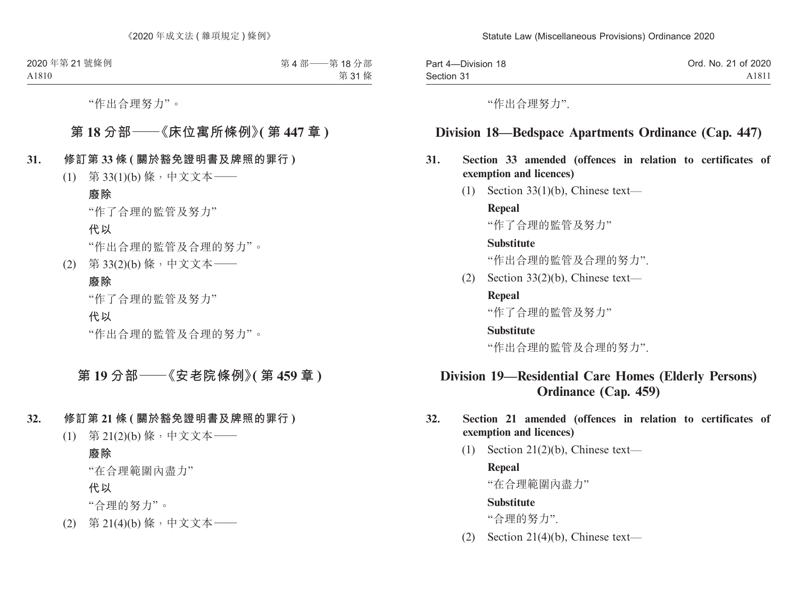| Part 4-Division 18 | Ord. No. 21 of 2020 |
|--------------------|---------------------|
| Section 31         | A1811               |

"作出合理努力".

### **Division 18—Bedspace Apartments Ordinance (Cap. 447)**

### **31. Section 33 amended (offences in relation to certificates of exemption and licences)**

 $(1)$  Section 33(1)(b), Chinese text—

**Repeal**

"作了合理的監管及努力"

#### **Substitute**

"作出合理的監管及合理的努力".

(2) Section 33(2)(b), Chinese text—

#### **Repeal**

"作了合理的監管及努力"

#### **Substitute**

"作出合理的監管及合理的努力".

## **Division 19—Residential Care Homes (Elderly Persons) Ordinance (Cap. 459)**

### **32. Section 21 amended (offences in relation to certificates of exemption and licences)**

(1) Section 21(2)(b), Chinese text—

#### **Repeal**

"在合理範圍內盡力"

#### **Substitute**

"合理的努力".

(2) Section 21(4)(b), Chinese text—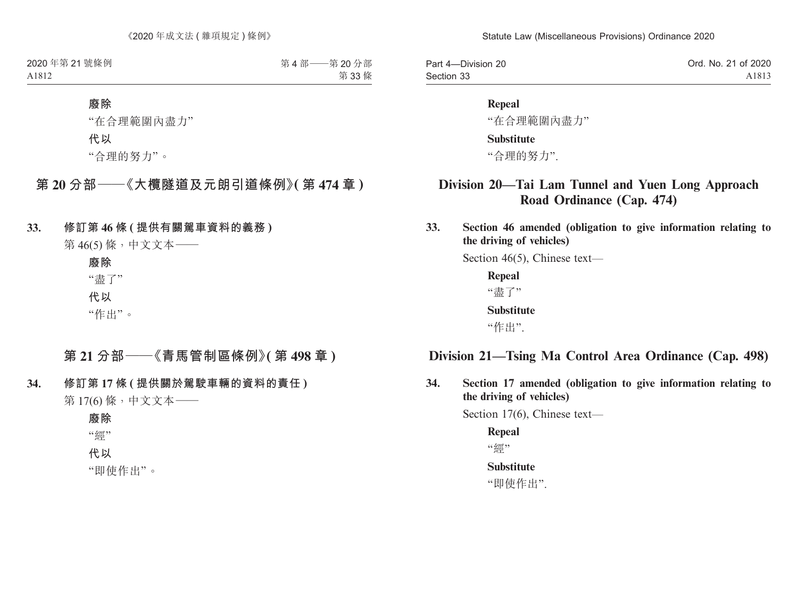| Part 4-Division 20 | Ord. No. 21 of 2020 |
|--------------------|---------------------|
| Section 33         | A1813               |

#### **Repeal**

"在合理範圍內盡力"

#### **Substitute**

"合理的努力".

## **Division 20—Tai Lam Tunnel and Yuen Long Approach Road Ordinance (Cap. 474)**

**33. Section 46 amended (obligation to give information relating to the driving of vehicles)**

Section 46(5), Chinese text—

**Repeal** "盡了" **Substitute** "作出".

### **Division 21—Tsing Ma Control Area Ordinance (Cap. 498)**

**34. Section 17 amended (obligation to give information relating to the driving of vehicles)**

Section 17(6), Chinese text—

**Repeal** "丝**" Substitute**

"即使作出".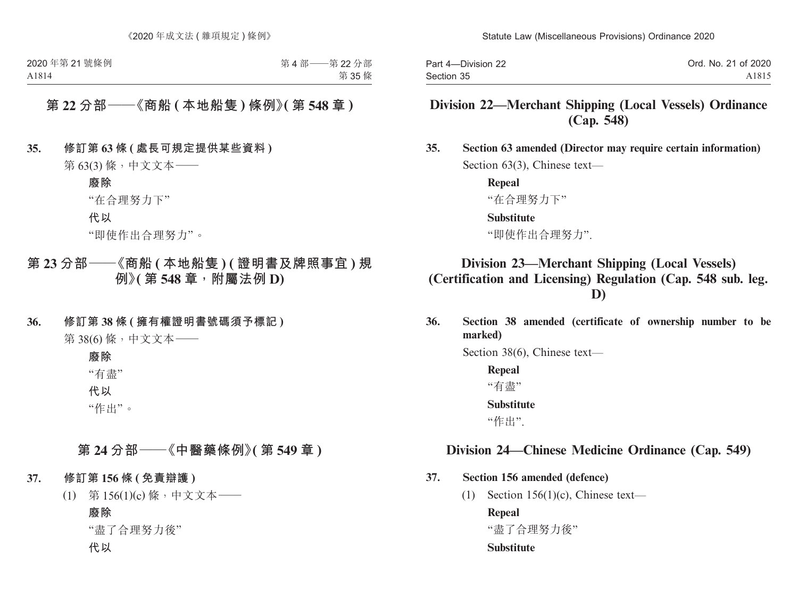| Part 4-Division 22 | Ord. No. 21 of 2020 |
|--------------------|---------------------|
| Section 35         | A1815               |

## **Division 22—Merchant Shipping (Local Vessels) Ordinance (Cap. 548)**

**35. Section 63 amended (Director may require certain information)** Section 63(3), Chinese text—

> **Repeal** "在合理努力下"

### **Substitute**

"即使作出合理努力".

## **Division 23—Merchant Shipping (Local Vessels) (Certification and Licensing) Regulation (Cap. 548 sub. leg. D)**

**36. Section 38 amended (certificate of ownership number to be marked)**

Section 38(6), Chinese text—

**Repeal** "有盡" **Substitute** "作出".

### **Division 24—Chinese Medicine Ordinance (Cap. 549)**

### **37. Section 156 amended (defence)**

(1) Section 156(1)(c), Chinese text—

**Repeal**

"盡了合理努力後"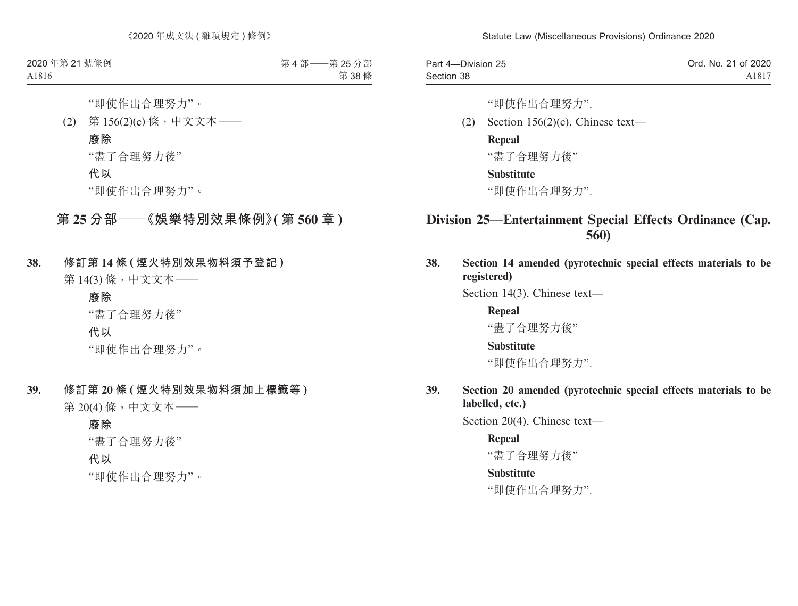| Part 4-Division 25 | Ord. No. 21 of 2020 |
|--------------------|---------------------|
| Section 38         | A1817               |

"即使作出合理努力".

(2) Section  $156(2)(c)$ , Chinese text—

#### **Repeal**

"盡了合理努力後"

### **Substitute**

"即使作出合理努力".

## **Division 25—Entertainment Special Effects Ordinance (Cap. 560)**

**38. Section 14 amended (pyrotechnic special effects materials to be registered)**

Section 14(3), Chinese text—

**Repeal** "盡了合理努力後"

#### **Substitute**

"即使作出合理努力".

**39. Section 20 amended (pyrotechnic special effects materials to be labelled, etc.)**

Section 20(4), Chinese text—

#### **Repeal**

"盡了合理努力後"

#### **Substitute**

"即使作出合理努力".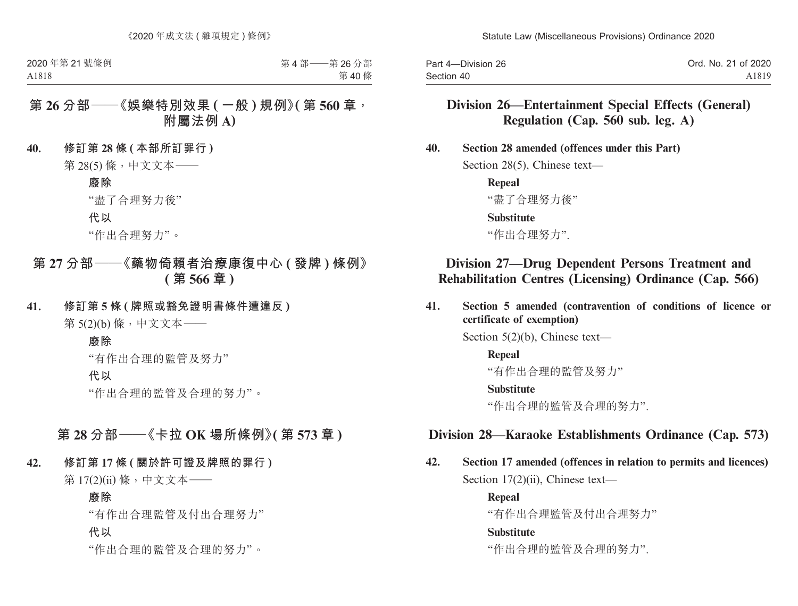Part 4—Division 26 Section 40 Ord. No. 21 of 2020 A1819

## **Division 26—Entertainment Special Effects (General) Regulation (Cap. 560 sub. leg. A)**

**40. Section 28 amended (offences under this Part)**

Section 28(5), Chinese text—

**Repeal** "盡了合理努力後"

#### **Substitute**

"作出合理努力".

## **Division 27—Drug Dependent Persons Treatment and Rehabilitation Centres (Licensing) Ordinance (Cap. 566)**

**41. Section 5 amended (contravention of conditions of licence or certificate of exemption)**

Section 5(2)(b), Chinese text—

**Repeal**

"有作出合理的監管及努力"

#### **Substitute**

"作出合理的監管及合理的努力".

### **Division 28—Karaoke Establishments Ordinance (Cap. 573)**

**42. Section 17 amended (offences in relation to permits and licences)** Section 17(2)(ii), Chinese text—

> **Repeal** "有作出合理監管及付出合理努力" **Substitute**

"作出合理的監管及合理的努力".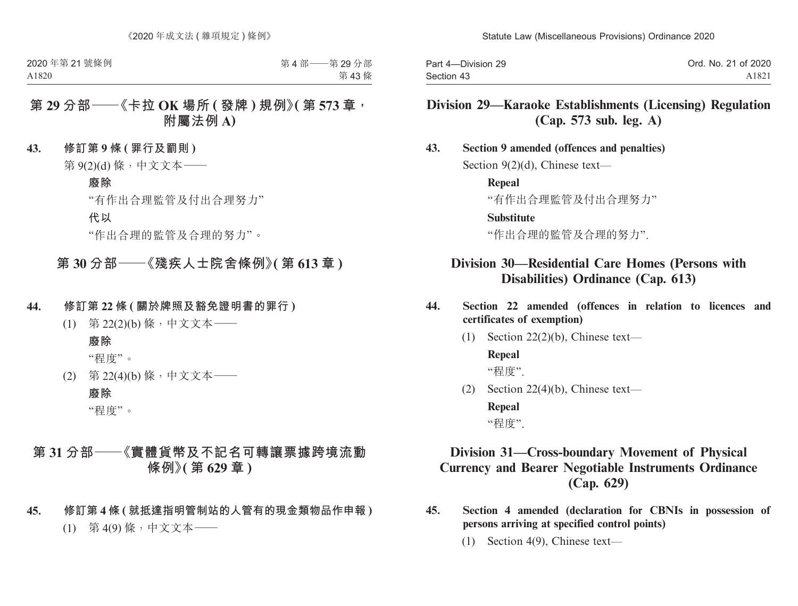| Part 4-Division 29 | Ord. No. 21 of 2020 |
|--------------------|---------------------|
| Section 43         | A1821               |

## **Division 29—Karaoke Establishments (Licensing) Regulation (Cap. 573 sub. leg. A)**

#### **43. Section 9 amended (offences and penalties)**

Section 9(2)(d), Chinese text—

**Repeal**

"有作出合理監管及付出合理努力"

#### **Substitute**

"作出合理的監管及合理的努力".

## **Division 30—Residential Care Homes (Persons with Disabilities) Ordinance (Cap. 613)**

- **44. Section 22 amended (offences in relation to licences and certificates of exemption)**
	- (1) Section 22(2)(b), Chinese text—

### **Repeal**

"程度".

(2) Section 22(4)(b), Chinese text—

**Repeal** "程度".

## **Division 31—Cross-boundary Movement of Physical Currency and Bearer Negotiable Instruments Ordinance (Cap. 629)**

- **45. Section 4 amended (declaration for CBNIs in possession of persons arriving at specified control points)**
	- (1) Section 4(9), Chinese text—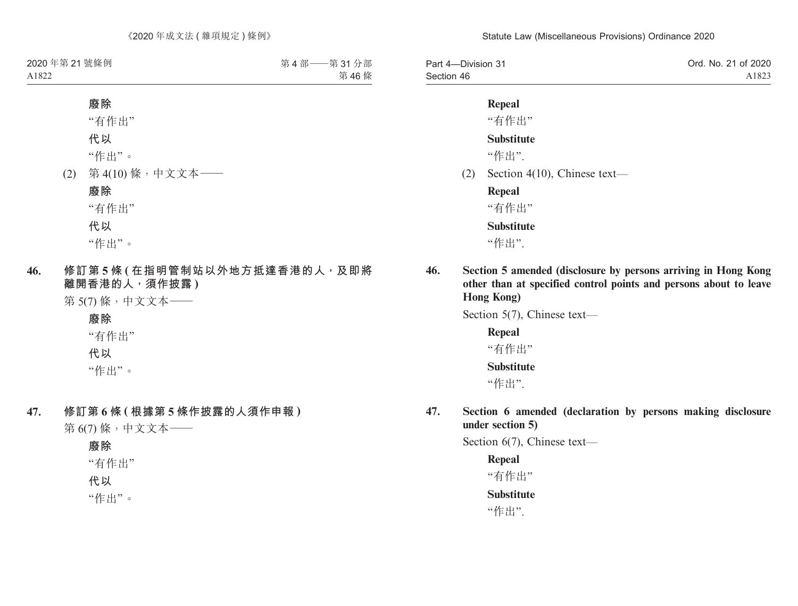| Part 4-Division 31 | Ord. No. 21 of 2020 |
|--------------------|---------------------|
| Section 46         | A1823               |

### **Repeal**

"有作出"

### **Substitute**

"作出".

(2) Section 4(10), Chinese text—

**Repeal**

"有作出"

**Substitute**

"作出".

**46. Section 5 amended (disclosure by persons arriving in Hong Kong other than at specified control points and persons about to leave Hong Kong)**

Section 5(7), Chinese text—

**Repeal** "有作出" **Substitute** "作出".

**47. Section 6 amended (declaration by persons making disclosure under section 5)**

Section 6(7), Chinese text—

**Repeal** "有作出" **Substitute**

"作出".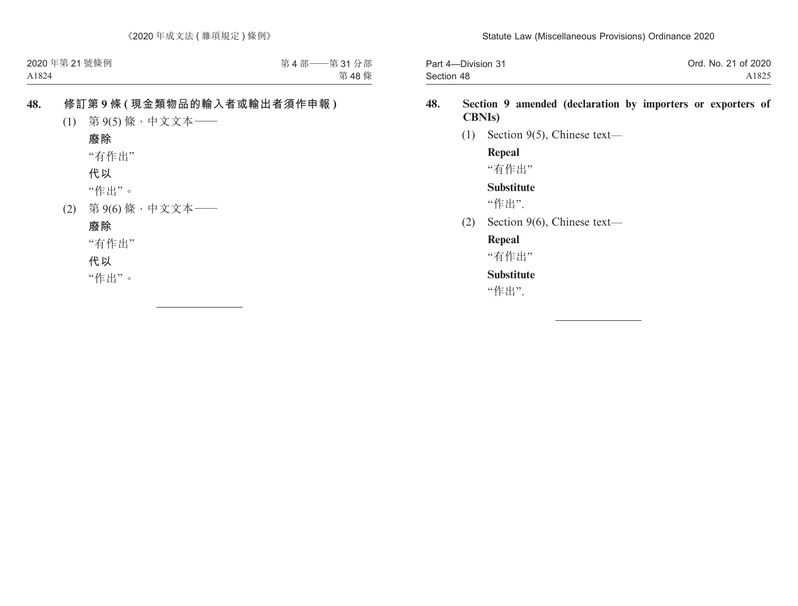| Part 4-Division 31 | Ord. No. 21 of 2020 |
|--------------------|---------------------|
| Section 48         | A1825               |

### **48. Section 9 amended (declaration by importers or exporters of CBNIs)**

(1) Section 9(5), Chinese text—

**Repeal** "有作出"

**Substitute**

"作出".

(2) Section 9(6), Chinese text—

### **Repeal**

"有作出"

### **Substitute**

"作出".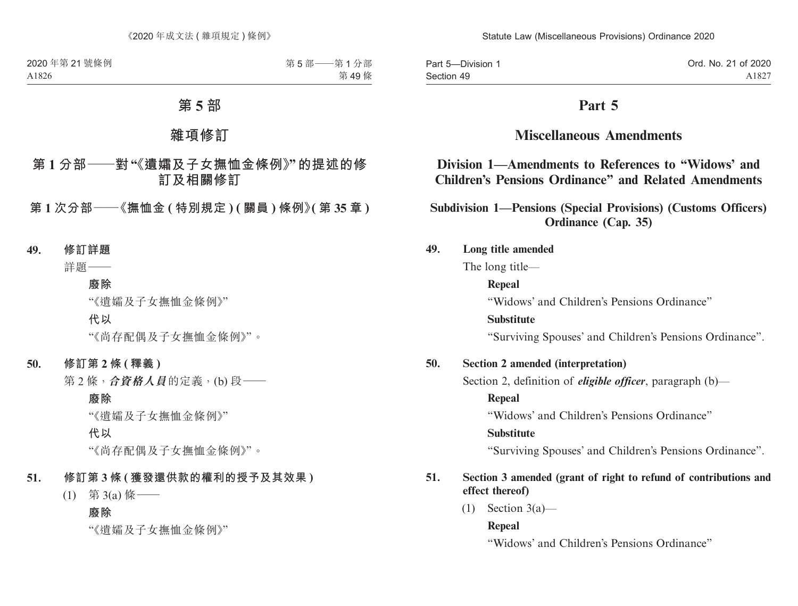Part 5—Division 1 Section 49

## **Part 5**

## **Miscellaneous Amendments**

## **Division 1—Amendments to References to "Widows' and Children's Pensions Ordinance" and Related Amendments**

**Subdivision 1—Pensions (Special Provisions) (Customs Officers) Ordinance (Cap. 35)**

### **49. Long title amended**

The long title—

### **Repeal**

"Widows' and Children's Pensions Ordinance"

### **Substitute**

"Surviving Spouses' and Children's Pensions Ordinance".

### **50. Section 2 amended (interpretation)**

Section 2, definition of *eligible officer*, paragraph (b)—

### **Repeal**

"Widows' and Children's Pensions Ordinance"

### **Substitute**

"Surviving Spouses' and Children's Pensions Ordinance".

### **51. Section 3 amended (grant of right to refund of contributions and effect thereof)**

 $(1)$  Section 3(a)—

### **Repeal**

"Widows' and Children's Pensions Ordinance"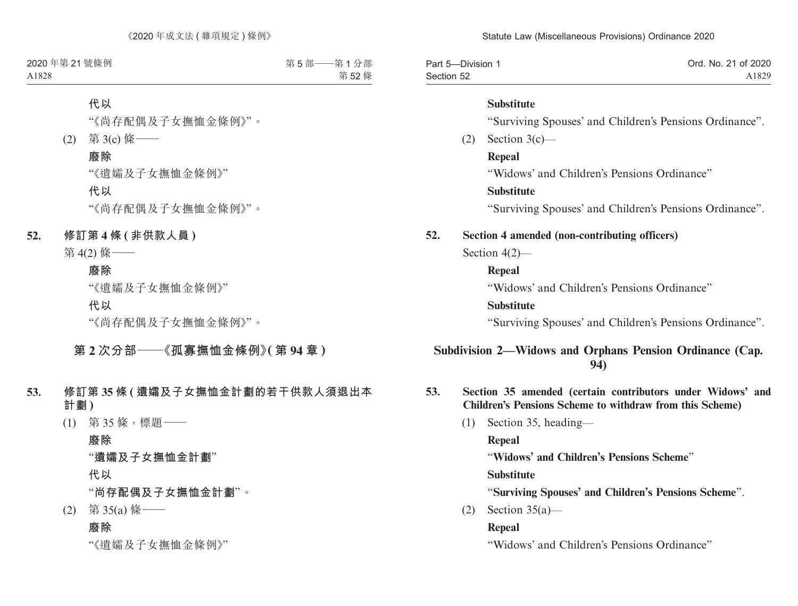| Part 5-Division 1 | Ord. No. 21 of 2020 |
|-------------------|---------------------|
| Section 52        | A1829               |

### **Substitute**

"Surviving Spouses' and Children's Pensions Ordinance".

 $(2)$  Section 3(c) —

**Repeal**

"Widows' and Children's Pensions Ordinance"

### **Substitute**

"Surviving Spouses' and Children's Pensions Ordinance".

### **52. Section 4 amended (non-contributing officers)**

Section 4(2)—

## **Repeal**

"Widows' and Children's Pensions Ordinance"

### **Substitute**

"Surviving Spouses' and Children's Pensions Ordinance".

### **Subdivision 2—Widows and Orphans Pension Ordinance (Cap. 94)**

- **53. Section 35 amended (certain contributors under Widows' and Children's Pensions Scheme to withdraw from this Scheme)**
	- (1) Section 35, heading—

**Repeal**

"**Widows' and Children's Pensions Scheme**"

**Substitute**

"**Surviving Spouses' and Children's Pensions Scheme**".

(2) Section 35(a)—

### **Repeal**

"Widows' and Children's Pensions Ordinance"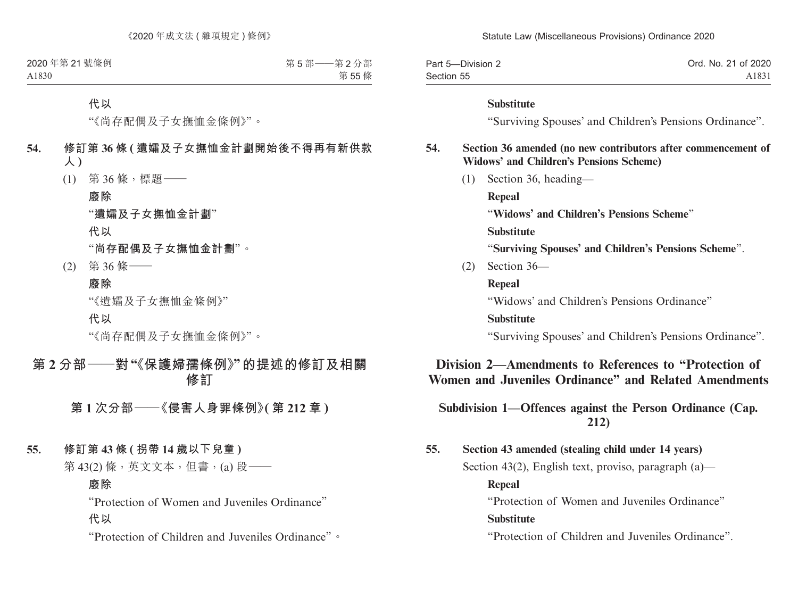| Part 5-Division 2 | Ord. No. 21 of 2020 |
|-------------------|---------------------|
| Section 55        | A1831               |

#### **Substitute**

"Surviving Spouses' and Children's Pensions Ordinance".

### **54. Section 36 amended (no new contributors after commencement of Widows' and Children's Pensions Scheme)**

(1) Section 36, heading—

**Repeal**

"**Widows' and Children's Pensions Scheme**"

**Substitute**

"**Surviving Spouses' and Children's Pensions Scheme**".

(2) Section 36—

**Repeal**

"Widows' and Children's Pensions Ordinance"

#### **Substitute**

"Surviving Spouses' and Children's Pensions Ordinance".

## **Division 2—Amendments to References to "Protection of Women and Juveniles Ordinance" and Related Amendments**

### **Subdivision 1—Offences against the Person Ordinance (Cap. 212)**

**55. Section 43 amended (stealing child under 14 years)** Section 43(2), English text, proviso, paragraph (a)— **Repeal** "Protection of Women and Juveniles Ordinance"

### **Substitute**

"Protection of Children and Juveniles Ordinance".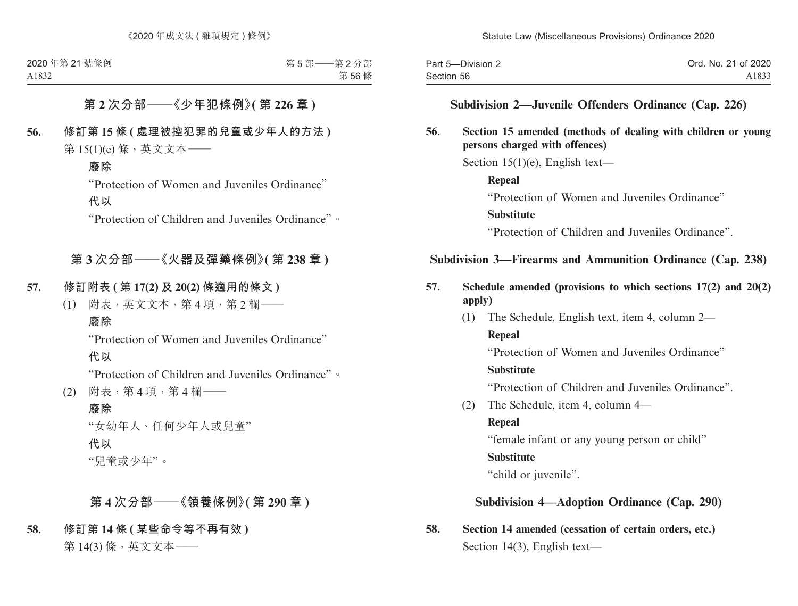| Part 5-Division 2 | Ord. No. 21 of 2020 |
|-------------------|---------------------|
| Section 56        | A1833               |

### **Subdivision 2—Juvenile Offenders Ordinance (Cap. 226)**

### **56. Section 15 amended (methods of dealing with children or young persons charged with offences)**

Section  $15(1)(e)$ , English text—

**Repeal** "Protection of Women and Juveniles Ordinance" **Substitute** "Protection of Children and Juveniles Ordinance".

### **Subdivision 3—Firearms and Ammunition Ordinance (Cap. 238)**

- **57. Schedule amended (provisions to which sections 17(2) and 20(2) apply)**
	- (1) The Schedule, English text, item 4, column 2—

#### **Repeal**

"Protection of Women and Juveniles Ordinance"

#### **Substitute**

"Protection of Children and Juveniles Ordinance".

(2) The Schedule, item 4, column 4—

#### **Repeal**

"female infant or any young person or child"

### **Substitute**

"child or juvenile".

### **Subdivision 4—Adoption Ordinance (Cap. 290)**

**58. Section 14 amended (cessation of certain orders, etc.)** Section 14(3), English text—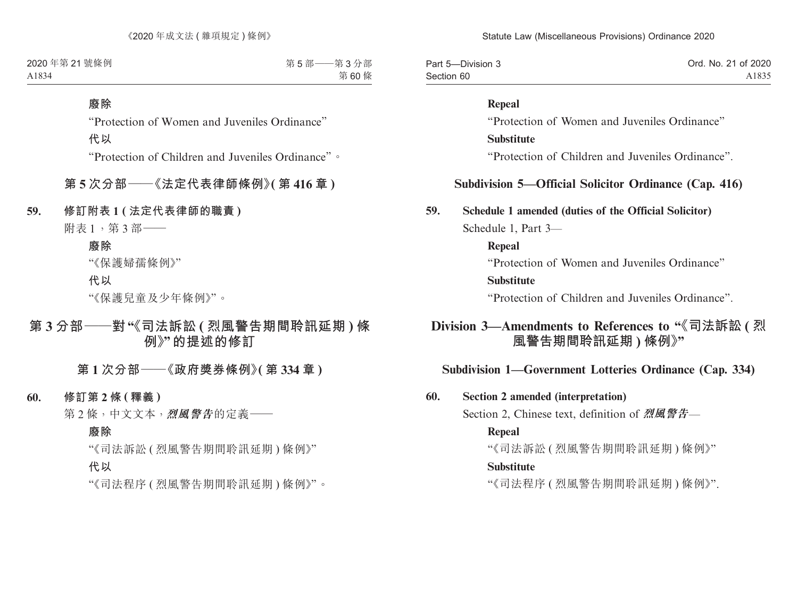| Part 5-Division 3 | Ord. No. 21 of 2020 |
|-------------------|---------------------|
| Section 60        | A1835               |

#### **Repeal**

"Protection of Women and Juveniles Ordinance"

#### **Substitute**

"Protection of Children and Juveniles Ordinance".

### **Subdivision 5—Official Solicitor Ordinance (Cap. 416)**

#### **59. Schedule 1 amended (duties of the Official Solicitor)**

Schedule 1, Part 3—

#### **Repeal**

"Protection of Women and Juveniles Ordinance"

### **Substitute**

"Protection of Children and Juveniles Ordinance".

## **Division 3—Amendments to References to "《司法訴訟 ( 烈 風警告期間聆訊延期 ) 條例》"**

### **Subdivision 1—Government Lotteries Ordinance (Cap. 334)**

#### **60. Section 2 amended (interpretation)**

Section 2, Chinese text, definition of **烈風警告**—

#### **Repeal**

"《司法訴訟 ( 烈風警告期間聆訊延期 ) 條例》"

#### **Substitute**

"《司法程序 ( 烈風警告期間聆訊延期 ) 條例》".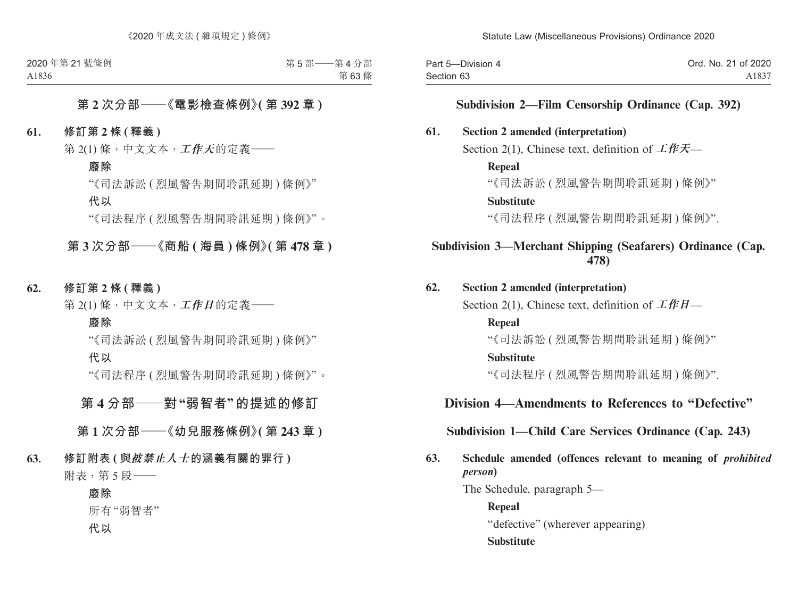| Part 5-Division 4 | Ord. No. 21 of 2020 |
|-------------------|---------------------|
| Section 63        | A1837               |

### **Subdivision 2—Film Censorship Ordinance (Cap. 392)**

#### **61. Section 2 amended (interpretation)**

Section 2(1), Chinese text, definition of **工作天**—

#### **Repeal**

"《司法訴訟 ( 烈風警告期間聆訊延期 ) 條例》"

#### **Substitute**

"《司法程序 ( 烈風警告期間聆訊延期 ) 條例》".

### **Subdivision 3—Merchant Shipping (Seafarers) Ordinance (Cap. 478)**

#### **62. Section 2 amended (interpretation)**

Section 2(1), Chinese text, definition of **工作日**—

#### **Repeal**

"《司法訴訟 ( 烈風警告期間聆訊延期 ) 條例》"

#### **Substitute**

"《司法程序 ( 烈風警告期間聆訊延期 ) 條例》".

### **Division 4—Amendments to References to "Defective"**

### **Subdivision 1—Child Care Services Ordinance (Cap. 243)**

### **63. Schedule amended (offences relevant to meaning of** *prohibited person***)**

The Schedule, paragraph 5—

**Repeal** "defective" (wherever appearing) **Substitute**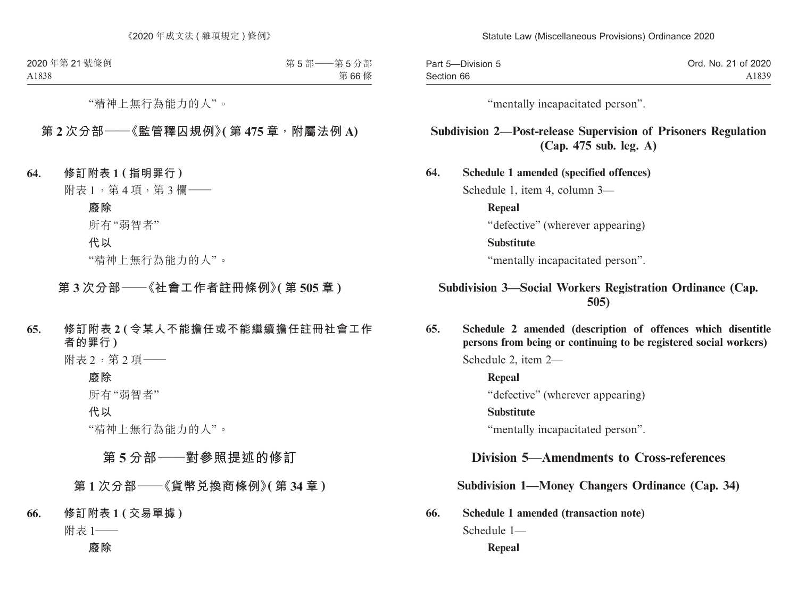| Part 5-Division 5 | Ord. No. 21 of 2020 |
|-------------------|---------------------|
| Section 66        | A1839               |

"mentally incapacitated person".

### **Subdivision 2—Post-release Supervision of Prisoners Regulation (Cap. 475 sub. leg. A)**

**64. Schedule 1 amended (specified offences)** Schedule 1, item 4, column 3— **Repeal** "defective" (wherever appearing) **Substitute** "mentally incapacitated person".

### **Subdivision 3—Social Workers Registration Ordinance (Cap. 505)**

**65. Schedule 2 amended (description of offences which disentitle persons from being or continuing to be registered social workers)**

Schedule 2, item 2—

**Repeal** "defective" (wherever appearing)

**Substitute**

"mentally incapacitated person".

## **Division 5—Amendments to Cross-references**

**Subdivision 1—Money Changers Ordinance (Cap. 34)**

**66. Schedule 1 amended (transaction note)**

Schedule 1—

**Repeal**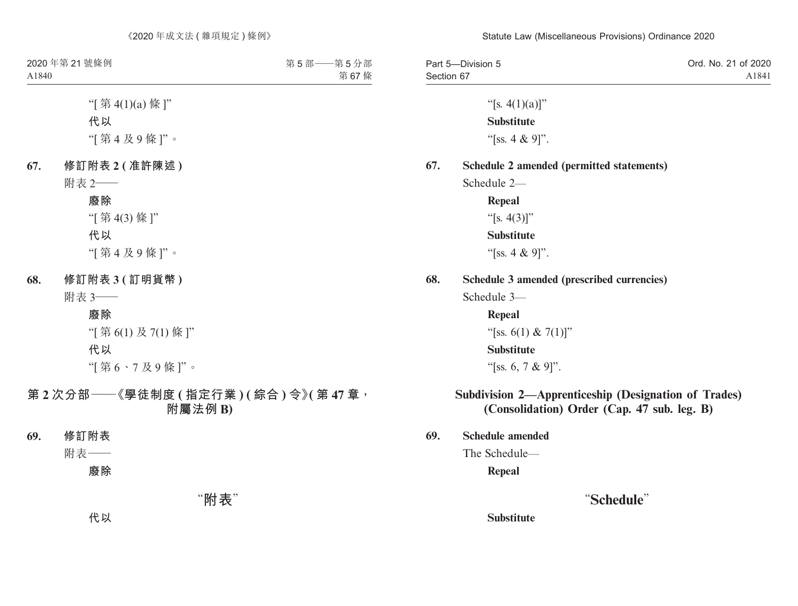| Part 5-Division 5 | Ord. No. 21 of 2020 |
|-------------------|---------------------|
| Section 67        | A1841               |

"[s.  $4(1)(a)$ ]" **Substitute** "[ss. 4 & 9]".

#### **67. Schedule 2 amended (permitted statements)**

Schedule 2—

**Repeal** "[s.  $4(3)$ ]" **Substitute** "[ss. 4 & 9]".

#### **68. Schedule 3 amended (prescribed currencies)**

Schedule 3—

**Repeal**

"[ss. 6(1) & 7(1)]"

#### **Substitute**

"[ss. 6, 7 & 9]".

### **Subdivision 2—Apprenticeship (Designation of Trades) (Consolidation) Order (Cap. 47 sub. leg. B)**

**69. Schedule amended**

The Schedule—

**Repeal**

### "**Schedule**"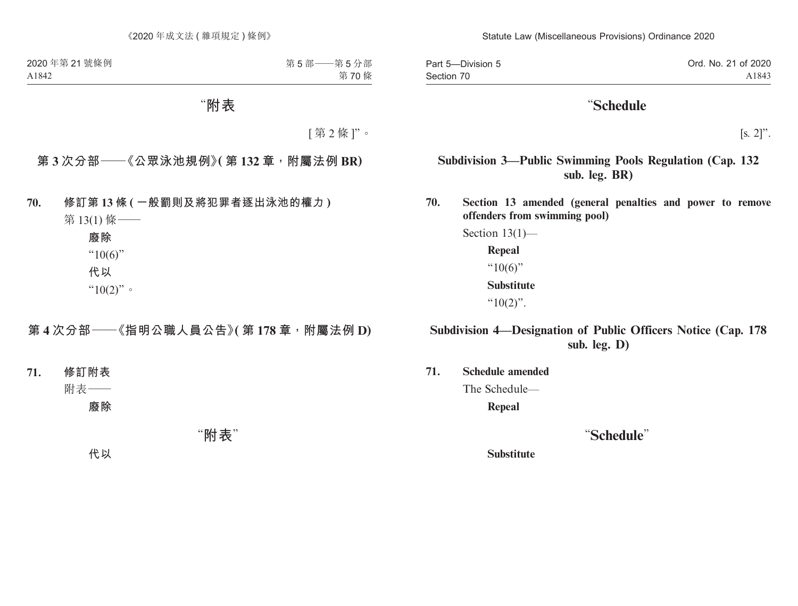Part 5—Division 5 Section 70 Ord. No. 21 of 2020 A1843

## "**Schedule**

 $[s. 2]$ ".

### **Subdivision 3—Public Swimming Pools Regulation (Cap. 132 sub. leg. BR)**

**70. Section 13 amended (general penalties and power to remove offenders from swimming pool)**

> Section 13(1)— **Repeal**  $"10(6)"$ **Substitute** " $10(2)$ ".

### **Subdivision 4—Designation of Public Officers Notice (Cap. 178 sub. leg. D)**

**71. Schedule amended**

The Schedule—

**Repeal**

## "**Schedule**"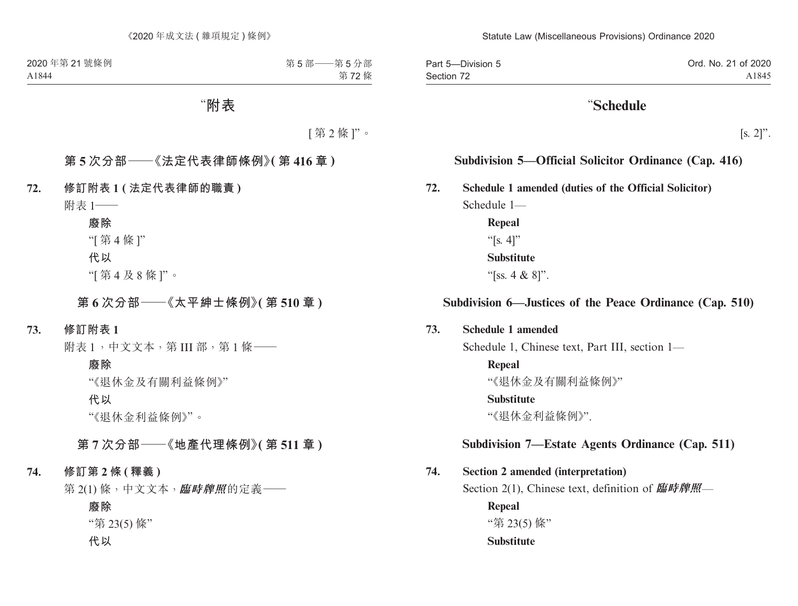Part 5—Division 5 Section 72 Ord. No. 21 of 2020 A1845

## "**Schedule**

 $[s, 2]$ ".

### **Subdivision 5—Official Solicitor Ordinance (Cap. 416)**

**72. Schedule 1 amended (duties of the Official Solicitor)**

Schedule 1— **Repeal**

"[s. 4]" **Substitute**

"[ss. 4 & 8]".

### **Subdivision 6—Justices of the Peace Ordinance (Cap. 510)**

### **73. Schedule 1 amended**

Schedule 1, Chinese text, Part III, section 1—

**Repeal**

"《退休金及有關利益條例》"

#### **Substitute**

"《退休金利益條例》".

### **Subdivision 7—Estate Agents Ordinance (Cap. 511)**

### **74. Section 2 amended (interpretation)**

Section 2(1), Chinese text, definition of **臨時牌照**—

**Repeal**

"第 23(5) 條"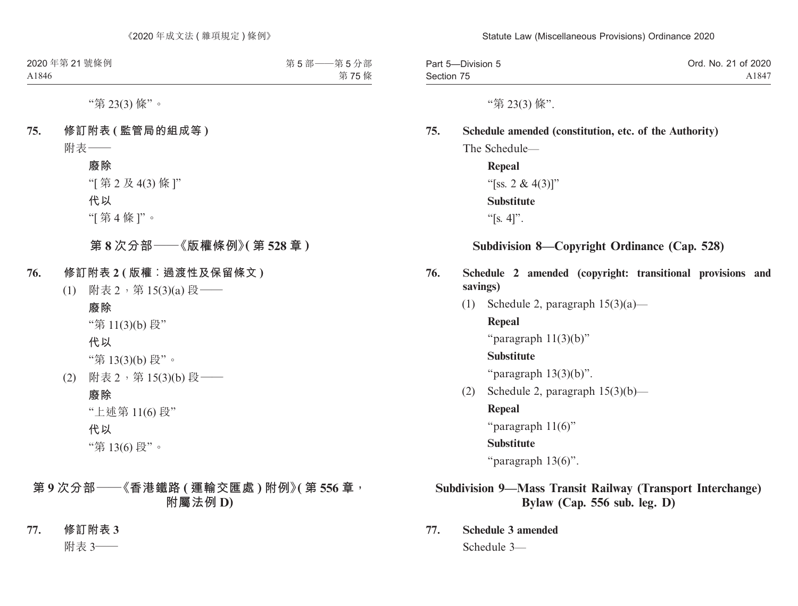| Part 5-Division 5 | Ord. No. 21 of 2020 |
|-------------------|---------------------|
| Section 75        | A1847               |

"第 23(3) 條".

### **75. Schedule amended (constitution, etc. of the Authority)**

The Schedule—

**Repeal** "[ss. 2 & 4(3)]" **Substitute** " $[s, 4]$ ".

### **Subdivision 8—Copyright Ordinance (Cap. 528)**

- **76. Schedule 2 amended (copyright: transitional provisions and savings)**
	- (1) Schedule 2, paragraph  $15(3)(a)$ —

**Repeal**

"paragraph 11(3)(b)"

#### **Substitute**

"paragraph  $13(3)(b)$ ".

(2) Schedule 2, paragraph  $15(3)(b)$ —

**Repeal**

"paragraph 11(6)"

#### **Substitute**

"paragraph 13(6)".

### **Subdivision 9—Mass Transit Railway (Transport Interchange) Bylaw (Cap. 556 sub. leg. D)**

**77. Schedule 3 amended** Schedule 3—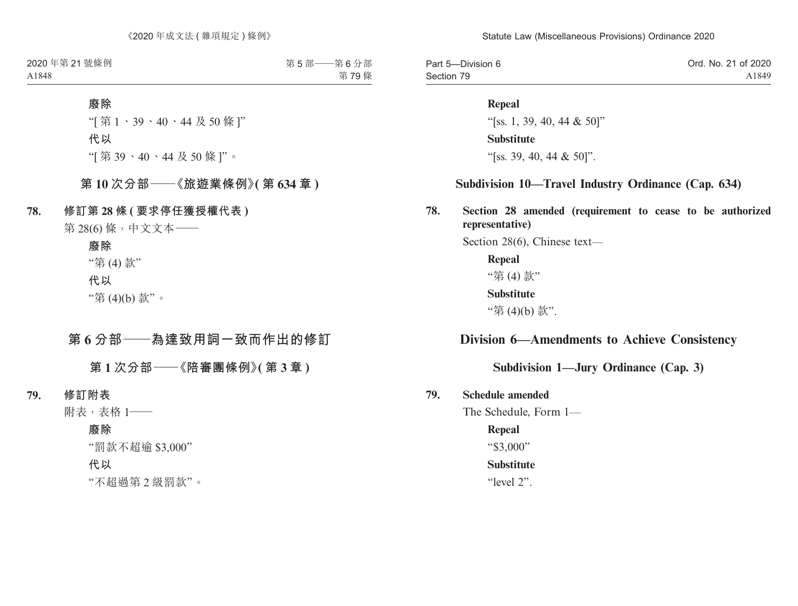| Part 5-Division 6 | Ord. No. 21 of 2020 |
|-------------------|---------------------|
| Section 79        | A1849               |

#### **Repeal**

"[ss. 1, 39, 40, 44 & 50]" **Substitute** "[ss. 39, 40, 44 & 50]".

### **Subdivision 10—Travel Industry Ordinance (Cap. 634)**

**78. Section 28 amended (requirement to cease to be authorized representative)**

Section 28(6), Chinese text—

**Repeal** "第 (4) 款" **Substitute** "第 (4)(b) 款".

### **Division 6—Amendments to Achieve Consistency**

### **Subdivision 1—Jury Ordinance (Cap. 3)**

### **79. Schedule amended**

The Schedule, Form 1—

#### **Repeal**

"\$3,000"

#### **Substitute**

"level 2".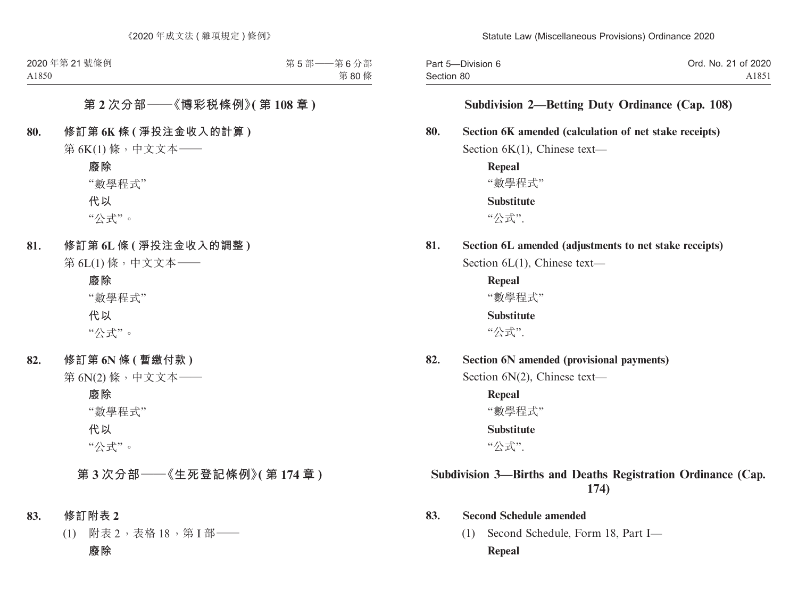| Part 5-Division 6 | Ord. No. 21 of 2020 |
|-------------------|---------------------|
| Section 80        | A1851               |

### **Subdivision 2—Betting Duty Ordinance (Cap. 108)**

#### **80. Section 6K amended (calculation of net stake receipts)**

Section 6K(1), Chinese text—

**Repeal** "數學程式" **Substitute** "公式".

## **81. Section 6L amended (adjustments to net stake receipts)**

Section 6L(1), Chinese text—

**Repeal** "數學程式" **Substitute**

"公式".

**82. Section 6N amended (provisional payments)**

Section 6N(2), Chinese text—

**Repeal** "數學程式" **Substitute**

"公式".

## **Subdivision 3—Births and Deaths Registration Ordinance (Cap. 174)**

#### **83. Second Schedule amended**

(1) Second Schedule, Form 18, Part I— **Repeal**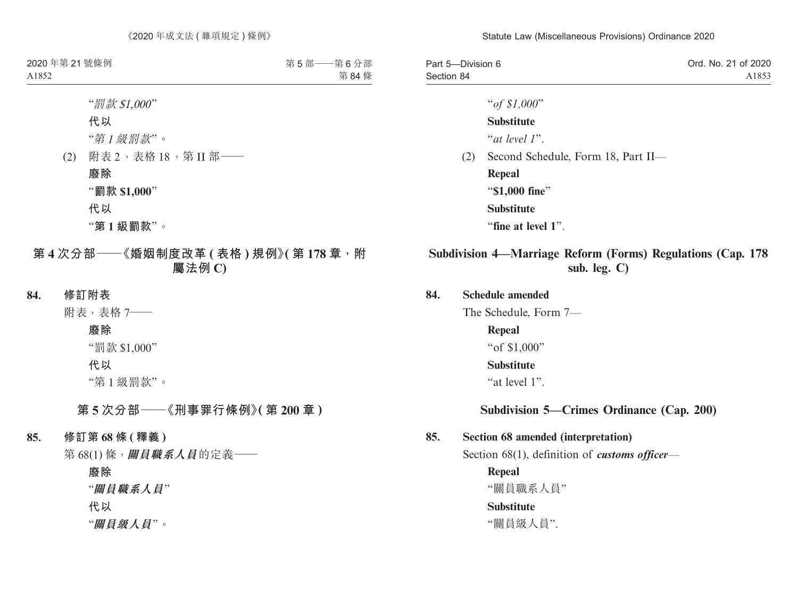| Part 5-Division 6 | Ord. No. 21 of 2020 |
|-------------------|---------------------|
| Section 84        | A1853               |

"*of \$1,000*"

**Substitute**

"*at level 1*".

(2) Second Schedule, Form 18, Part II—

**Repeal** "**\$1,000 fine**" **Substitute** "**fine at level 1**".

### **Subdivision 4—Marriage Reform (Forms) Regulations (Cap. 178 sub. leg. C)**

#### **84. Schedule amended**

The Schedule, Form 7—

**Repeal**

"of \$1,000"

#### **Substitute**

"at level 1".

### **Subdivision 5—Crimes Ordinance (Cap. 200)**

#### **85. Section 68 amended (interpretation)**

Section 68(1), definition of *customs officer*—

**Repeal**

"關員職系人員"

### **Substitute**

"關員級人員".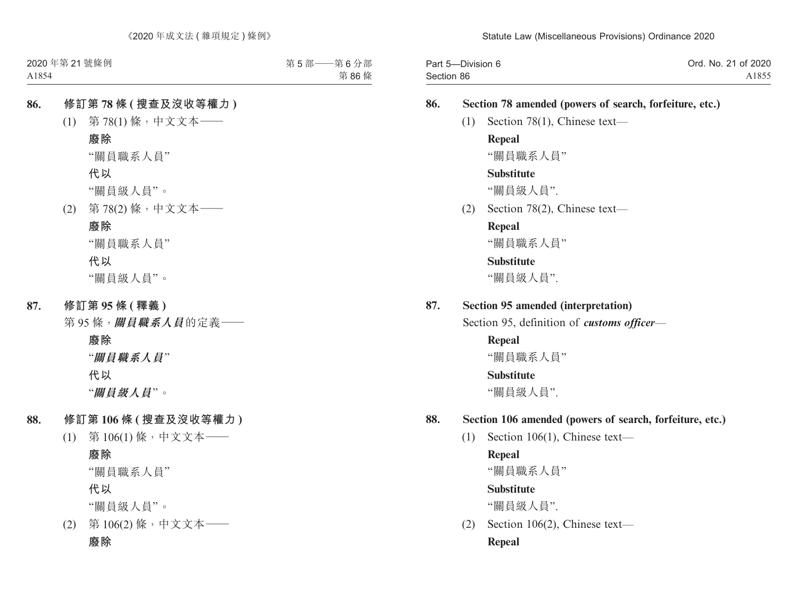| Part 5-Division 6 | Ord. No. 21 of 2020 |
|-------------------|---------------------|
| Section 86        | A1855               |

### **86. Section 78 amended (powers of search, forfeiture, etc.)**

(1) Section 78(1), Chinese text—

### **Repeal**

"關員職系人員"

### **Substitute**

"關員級人員".

(2) Section 78(2), Chinese text—

## **Repeal**

"關員職系人員"

### **Substitute**

"關員級人員".

### **87. Section 95 amended (interpretation)**

Section 95, definition of *customs officer*—

# **Repeal**

"關員職系人員"

### **Substitute**

"關員級人員".

### **88. Section 106 amended (powers of search, forfeiture, etc.)**

(1) Section 106(1), Chinese text—

### **Repeal**

"關員職系人員"

### **Substitute**

"關員級人員".

(2) Section 106(2), Chinese text— **Repeal**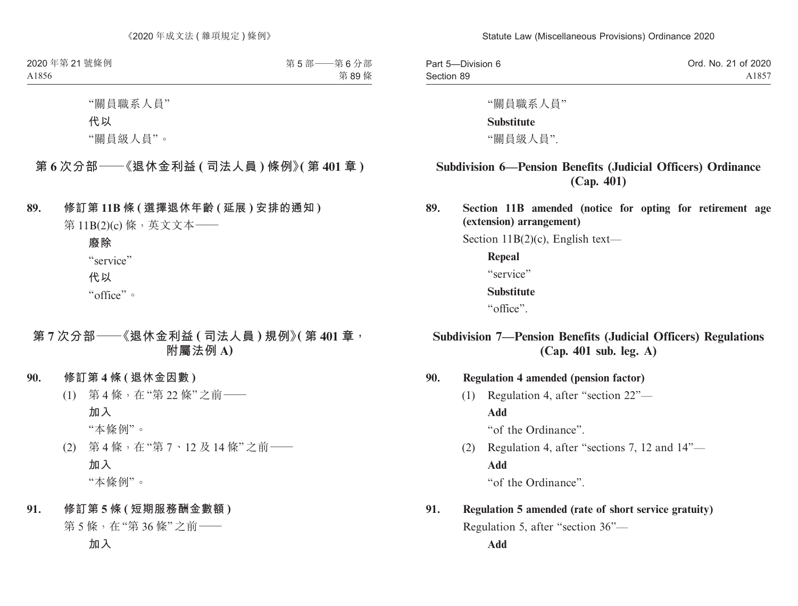| Part 5-Division 6 | Ord. No. 21 of 2020 |
|-------------------|---------------------|
| Section 89        | A1857               |

"關員職系人員"

#### **Substitute**

"關員級人員".

## **Subdivision 6—Pension Benefits (Judicial Officers) Ordinance (Cap. 401)**

**89. Section 11B amended (notice for opting for retirement age (extension) arrangement)**

Section 11B(2)(c), English text—

**Repeal**

"service"

#### **Substitute**

"office".

### **Subdivision 7—Pension Benefits (Judicial Officers) Regulations (Cap. 401 sub. leg. A)**

**90. Regulation 4 amended (pension factor)**

(1) Regulation 4, after "section 22"— **Add** "of the Ordinance".

(2) Regulation 4, after "sections 7, 12 and 14"— **Add**

"of the Ordinance".

## **91. Regulation 5 amended (rate of short service gratuity)** Regulation 5, after "section 36"—

**Add**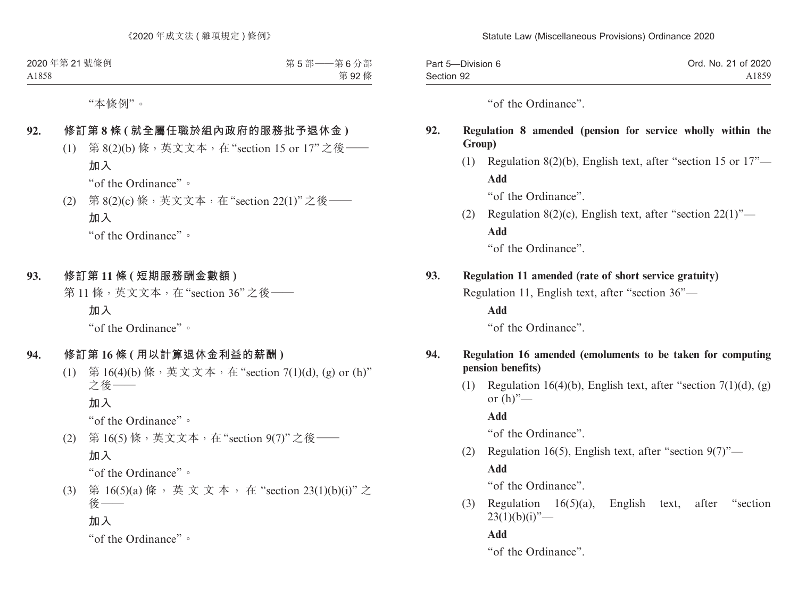| Part 5-Division 6 | Ord. No. 21 of 2020 |
|-------------------|---------------------|
| Section 92        | A1859               |

"of the Ordinance".

### **92. Regulation 8 amended (pension for service wholly within the Group)**

(1) Regulation 8(2)(b), English text, after "section 15 or 17"— **Add**

"of the Ordinance".

(2) Regulation 8(2)(c), English text, after "section  $22(1)$ "— **Add**

"of the Ordinance".

### **93. Regulation 11 amended (rate of short service gratuity)**

Regulation 11, English text, after "section 36"—

**Add**

"of the Ordinance".

### **94. Regulation 16 amended (emoluments to be taken for computing pension benefits)**

(1) Regulation 16(4)(b), English text, after "section 7(1)(d), (g) or  $(h)$ "—

**Add**

"of the Ordinance".

(2) Regulation 16(5), English text, after "section  $9(7)$ "—

### **Add**

"of the Ordinance".

(3) Regulation 16(5)(a), English text, after "section  $23(1)(b)(i)$ "—

**Add**

"of the Ordinance".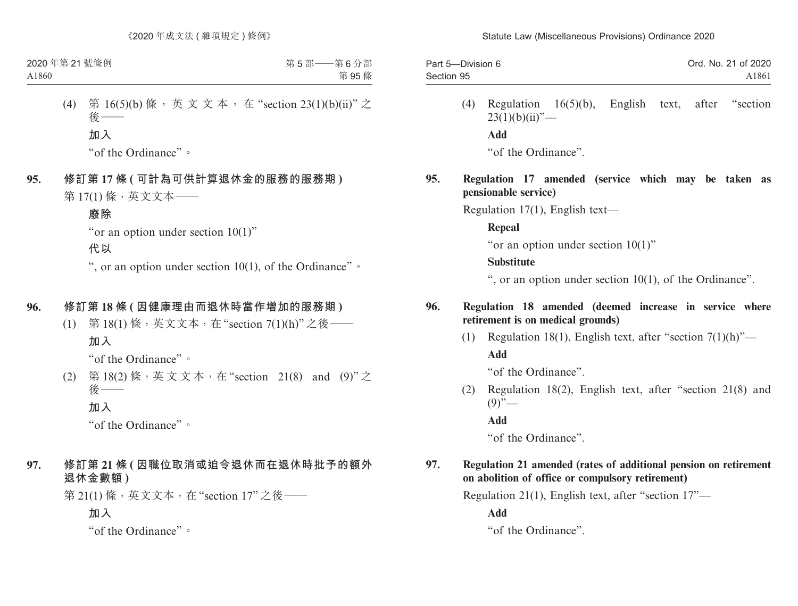| Part 5-Division 6 | Ord. No. 21 of 2020 |
|-------------------|---------------------|
| Section 95        | A1861               |

(4) Regulation 16(5)(b), English text, after "section  $23(1)(b)(ii)$ "— **Add** "of the Ordinance".

### **95. Regulation 17 amended (service which may be taken as pensionable service)**

Regulation 17(1), English text—

**Repeal**

"or an option under section 10(1)"

#### **Substitute**

", or an option under section 10(1), of the Ordinance".

### **96. Regulation 18 amended (deemed increase in service where retirement is on medical grounds)**

(1) Regulation 18(1), English text, after "section  $7(1)(h)$ "— **Add**

"of the Ordinance".

(2) Regulation 18(2), English text, after "section 21(8) and  $(9)$ "—

**Add**

"of the Ordinance".

#### **97. Regulation 21 amended (rates of additional pension on retirement on abolition of office or compulsory retirement)**

Regulation 21(1), English text, after "section 17"—

**Add**

"of the Ordinance".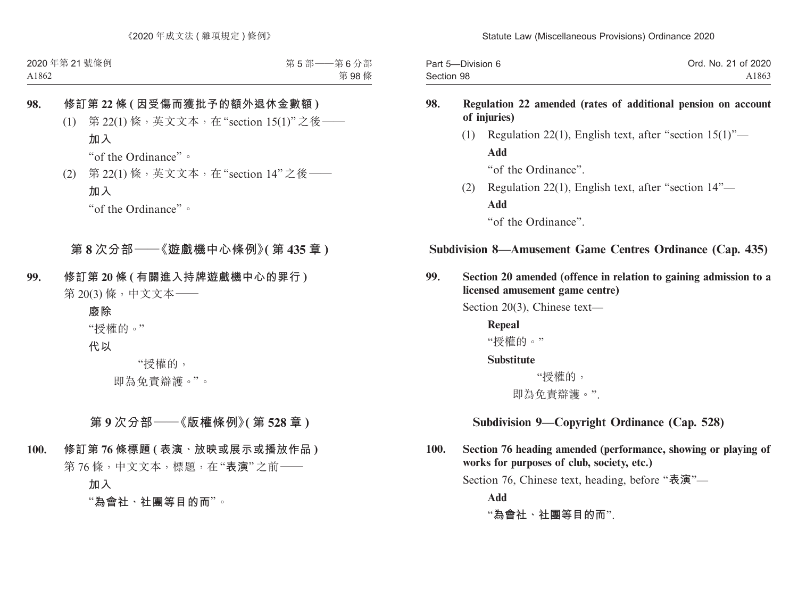| Part 5-Division 6 | Ord. No. 21 of 2020 |
|-------------------|---------------------|
| Section 98        | A1863               |

### **98. Regulation 22 amended (rates of additional pension on account of injuries)**

(1) Regulation 22(1), English text, after "section 15(1)"— **Add** "of the Ordinance".

(2) Regulation 22(1), English text, after "section 14"— **Add**

"of the Ordinance".

## **Subdivision 8—Amusement Game Centres Ordinance (Cap. 435)**

**99. Section 20 amended (offence in relation to gaining admission to a licensed amusement game centre)**

Section 20(3), Chinese text—

**Repeal** "授權的。"

**Substitute**

 "授權的, 即為免責辯護。".

### **Subdivision 9—Copyright Ordinance (Cap. 528)**

**100. Section 76 heading amended (performance, showing or playing of works for purposes of club, society, etc.)**

Section 76, Chinese text, heading, before "**表演**"—

**Add**

"**為會社、社團等目的而**".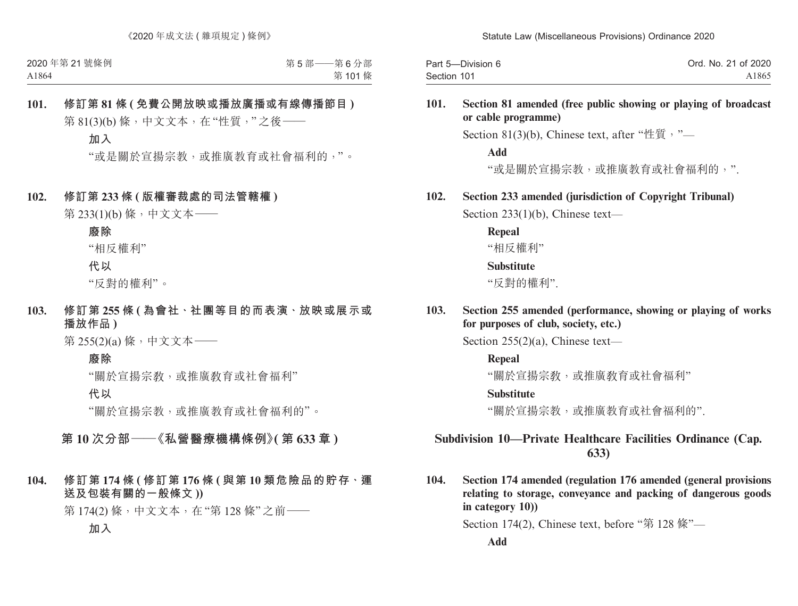| Part 5-Division 6 | Ord. No. 21 of 2020 |
|-------------------|---------------------|
| Section 101       | A1865               |

#### **101. Section 81 amended (free public showing or playing of broadcast or cable programme)**

Section 81(3)(b), Chinese text, after "性質,"

**Add**

"或是關於宣揚宗教,或推廣教育或社會福利的,".

### **102. Section 233 amended (jurisdiction of Copyright Tribunal)**

Section 233(1)(b), Chinese text—

**Repeal**

"相反權利"

#### **Substitute**

"反對的權利".

**103. Section 255 amended (performance, showing or playing of works for purposes of club, society, etc.)**

Section 255(2)(a), Chinese text—

**Repeal**

"關於官揚宗敎,或推廣敎育或社會福利"

#### **Substitute**

"關於宣揚宗教,或推廣教育或社會福利的".

### **Subdivision 10—Private Healthcare Facilities Ordinance (Cap. 633)**

**104. Section 174 amended (regulation 176 amended (general provisions relating to storage, conveyance and packing of dangerous goods in category 10))**

Section 174(2), Chinese text, before "第 128 條"—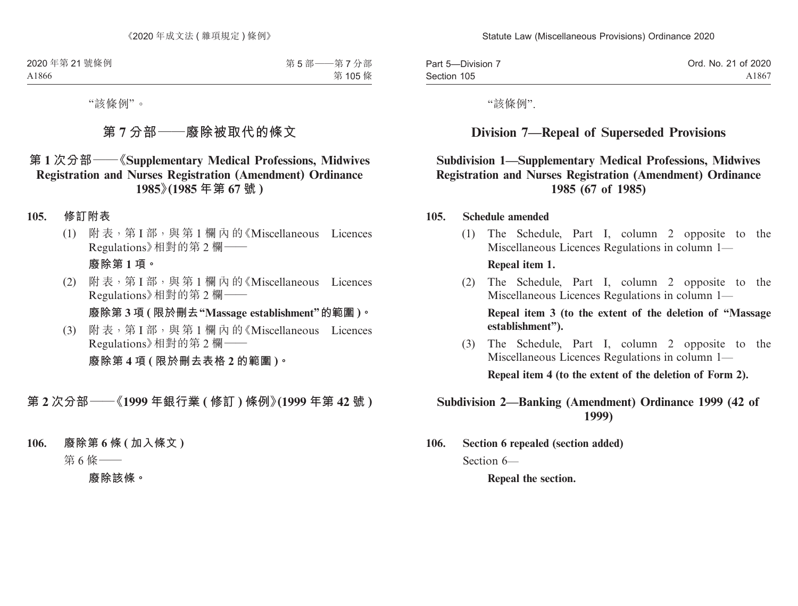| Part 5-Division 7 | Ord. No. 21 of 2020 |
|-------------------|---------------------|
| Section 105       | A1867               |

"該條例".

## **Division 7—Repeal of Superseded Provisions**

### **Subdivision 1—Supplementary Medical Professions, Midwives Registration and Nurses Registration (Amendment) Ordinance 1985 (67 of 1985)**

#### **105. Schedule amended**

(1) The Schedule, Part I, column 2 opposite to the Miscellaneous Licences Regulations in column 1—

#### **Repeal item 1.**

(2) The Schedule, Part I, column 2 opposite to the Miscellaneous Licences Regulations in column 1—

**Repeal item 3 (to the extent of the deletion of "Massage establishment").**

(3) The Schedule, Part I, column 2 opposite to the Miscellaneous Licences Regulations in column 1—

**Repeal item 4 (to the extent of the deletion of Form 2).**

### **Subdivision 2—Banking (Amendment) Ordinance 1999 (42 of 1999)**

**106. Section 6 repealed (section added)**  Section 6—

**Repeal the section.**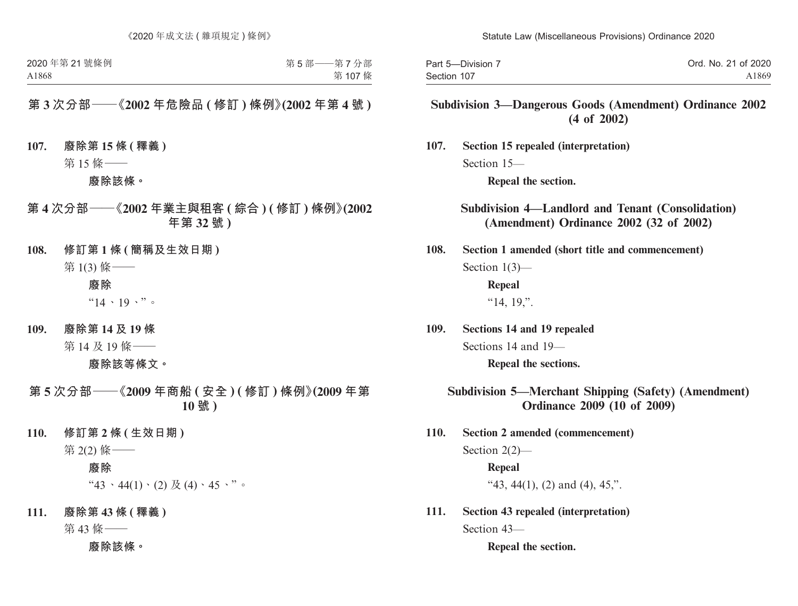| Part 5-Division 7 | Ord. No. 21 of 2020 |
|-------------------|---------------------|
| Section 107       | A1869               |

### **Subdivision 3—Dangerous Goods (Amendment) Ordinance 2002 (4 of 2002)**

**107. Section 15 repealed (interpretation)** Section 15—

**Repeal the section.**

**Subdivision 4—Landlord and Tenant (Consolidation) (Amendment) Ordinance 2002 (32 of 2002)**

**108. Section 1 amended (short title and commencement)** Section 1(3)—

> **Repeal**  "14, 19,".

**109. Sections 14 and 19 repealed** Sections 14 and 19— **Repeal the sections.** 

### **Subdivision 5—Merchant Shipping (Safety) (Amendment) Ordinance 2009 (10 of 2009)**

- **110. Section 2 amended (commencement)** Section 2(2)— **Repeal** "43, 44(1), (2) and (4), 45,".
- **111. Section 43 repealed (interpretation)** Section 43—

**Repeal the section.**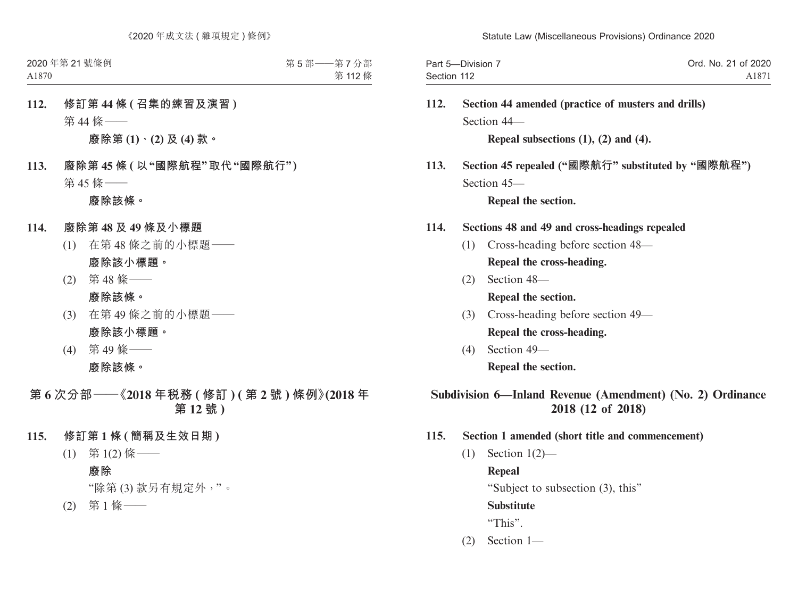| Part 5-Division 7 | Ord. No. 21 of 2020 |
|-------------------|---------------------|
| Section 112       | A1871               |

**112. Section 44 amended (practice of musters and drills)** Section 44—

**Repeal subsections (1), (2) and (4).**

**113. Section 45 repealed ("國際航行" substituted by "國際航程")** Section 45—

**Repeal the section.** 

- **114. Sections 48 and 49 and cross-headings repealed**
	- (1) Cross-heading before section 48— **Repeal the cross-heading.**
	- (2) Section 48— **Repeal the section.**
	- (3) Cross-heading before section 49— **Repeal the cross-heading.**
	- (4) Section 49— **Repeal the section.**

### **Subdivision 6—Inland Revenue (Amendment) (No. 2) Ordinance 2018 (12 of 2018)**

- **115. Section 1 amended (short title and commencement)**
	- (1) Section 1(2)—

**Repeal**

"Subject to subsection (3), this"

**Substitute**

"This".

(2) Section 1—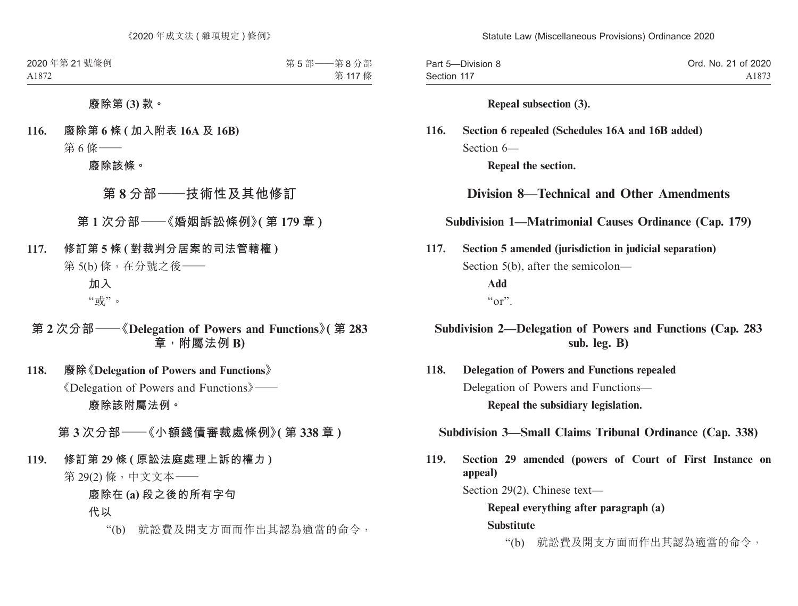| Part 5-Division 8 | Ord. No. 21 of 2020 |
|-------------------|---------------------|
| Section 117       | A1873               |

#### **Repeal subsection (3).**

## **116. Section 6 repealed (Schedules 16A and 16B added)** Section 6—

**Repeal the section.**

## **Division 8—Technical and Other Amendments**

### **Subdivision 1—Matrimonial Causes Ordinance (Cap. 179)**

**117. Section 5 amended (jurisdiction in judicial separation)** Section 5(b), after the semicolon— **Add**  $``\alpha"$ 

### **Subdivision 2—Delegation of Powers and Functions (Cap. 283 sub. leg. B)**

**118. Delegation of Powers and Functions repealed** Delegation of Powers and Functions— **Repeal the subsidiary legislation.**

### **Subdivision 3—Small Claims Tribunal Ordinance (Cap. 338)**

**119. Section 29 amended (powers of Court of First Instance on appeal)**

Section 29(2), Chinese text—

**Repeal everything after paragraph (a) Substitute**

"(b) 就訟費及開支方面而作出其認為適當的命令,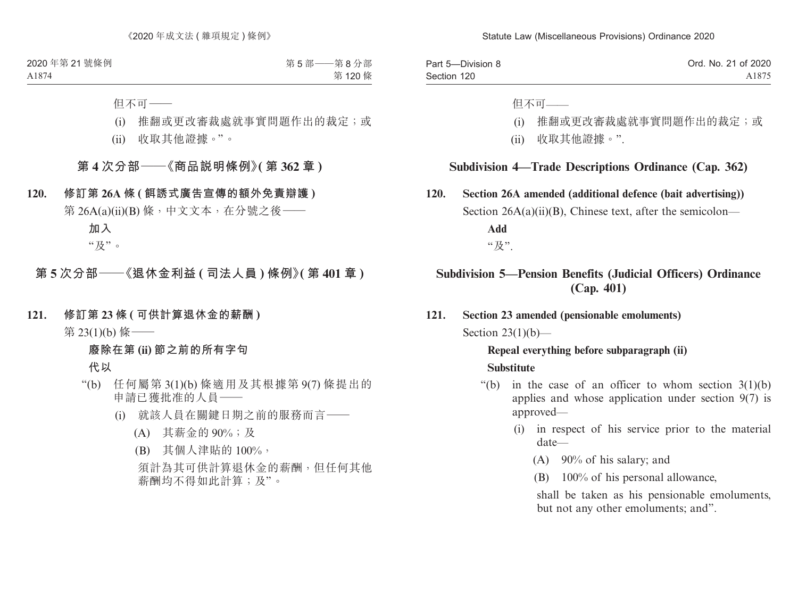| Part 5-Division 8 | Ord. No. 21 of 2020 |
|-------------------|---------------------|
| Section 120       | A1875               |

但不可——

- (i) 推翻或更改審裁處就事實問題作出的裁定;或
- (ii) 收取其他證據。".

#### **Subdivision 4—Trade Descriptions Ordinance (Cap. 362)**

**120. Section 26A amended (additional defence (bait advertising))** Section  $26A(a)(ii)(B)$ , Chinese text, after the semicolon— **Add** "及".

### **Subdivision 5—Pension Benefits (Judicial Officers) Ordinance (Cap. 401)**

**121. Section 23 amended (pensionable emoluments)** Section  $23(1)(b)$ —

### **Repeal everything before subparagraph (ii) Substitute**

- "(b) in the case of an officer to whom section  $3(1)(b)$ applies and whose application under section 9(7) is approved—
	- (i) in respect of his service prior to the material date—
		- (A) 90% of his salary; and
		- (B) 100% of his personal allowance,

shall be taken as his pensionable emoluments, but not any other emoluments; and".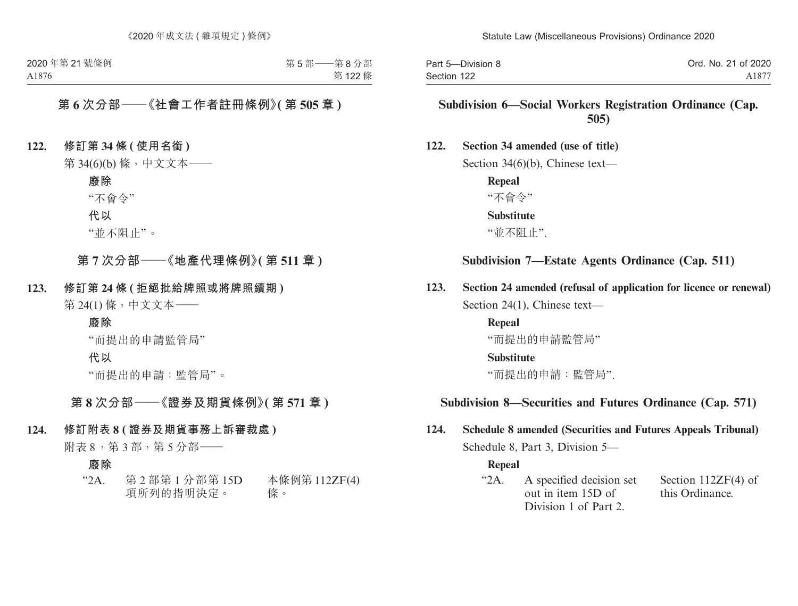| Part 5-Division 8 | Ord. No. 21 of 2020 |
|-------------------|---------------------|
| Section 122       | A1877               |

### **Subdivision 6—Social Workers Registration Ordinance (Cap. 505)**

#### **122. Section 34 amended (use of title)**

Section 34(6)(b), Chinese text—

**Repeal** "不會令" **Substitute** "並不阻止".

### **Subdivision 7—Estate Agents Ordinance (Cap. 511)**

**123. Section 24 amended (refusal of application for licence or renewal)** Section 24(1), Chinese text—

> **Repeal** "而提出的申請監管局" **Substitute** "而提出的申請:監管局".

#### **Subdivision 8—Securities and Futures Ordinance (Cap. 571)**

## **124. Schedule 8 amended (Securities and Futures Appeals Tribunal)** Schedule 8, Part 3, Division 5—

#### **Repeal**

"2A. A specified decision set out in item 15D of Division 1 of Part 2. Section 112ZF(4) of this Ordinance.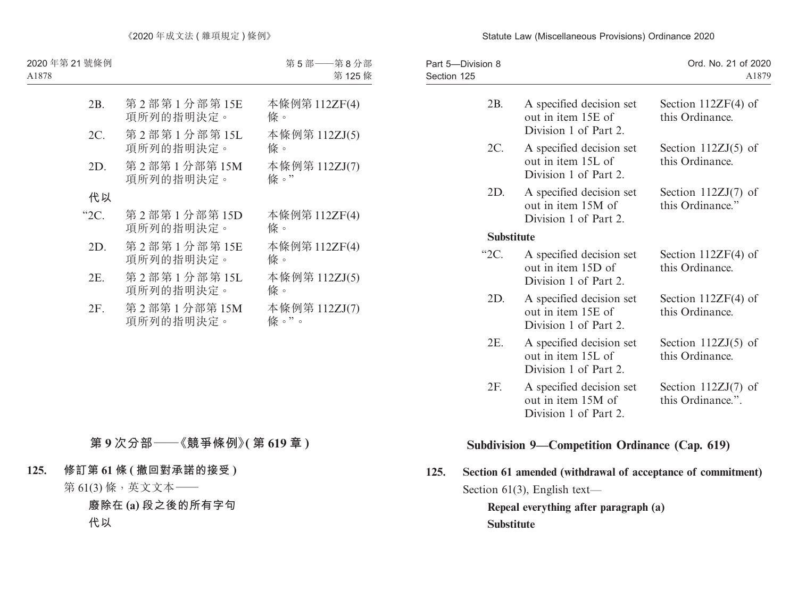| Part 5-Division 8<br>Section 125 |                   |                                                                         | Ord. No. 21 of 2020<br>A1879               |
|----------------------------------|-------------------|-------------------------------------------------------------------------|--------------------------------------------|
|                                  | 2B.               | A specified decision set<br>out in item 15E of<br>Division 1 of Part 2. | Section $112ZF(4)$ of<br>this Ordinance.   |
|                                  | 2C.               | A specified decision set<br>out in item 15L of<br>Division 1 of Part 2. | Section $112ZJ(5)$ of<br>this Ordinance.   |
|                                  | 2D.               | A specified decision set<br>out in item 15M of<br>Division 1 of Part 2. | Section $112ZJ(7)$ of<br>this Ordinance."  |
|                                  | <b>Substitute</b> |                                                                         |                                            |
|                                  | $^{\circ}2C$ .    | A specified decision set<br>out in item 15D of<br>Division 1 of Part 2. | Section $112ZF(4)$ of<br>this Ordinance.   |
|                                  | 2D.               | A specified decision set<br>out in item 15E of<br>Division 1 of Part 2. | Section $112ZF(4)$ of<br>this Ordinance.   |
|                                  | 2E.               | A specified decision set<br>out in item 15L of<br>Division 1 of Part 2. | Section $112ZJ(5)$ of<br>this Ordinance.   |
|                                  | 2F.               | A specified decision set<br>out in item 15M of<br>Division 1 of Part 2. | Section $112ZJ(7)$ of<br>this Ordinance.". |
|                                  |                   |                                                                         |                                            |

## **Subdivision 9—Competition Ordinance (Cap. 619)**

**125. Section 61 amended (withdrawal of acceptance of commitment)** Section 61(3), English text—

**Repeal everything after paragraph (a) Substitute**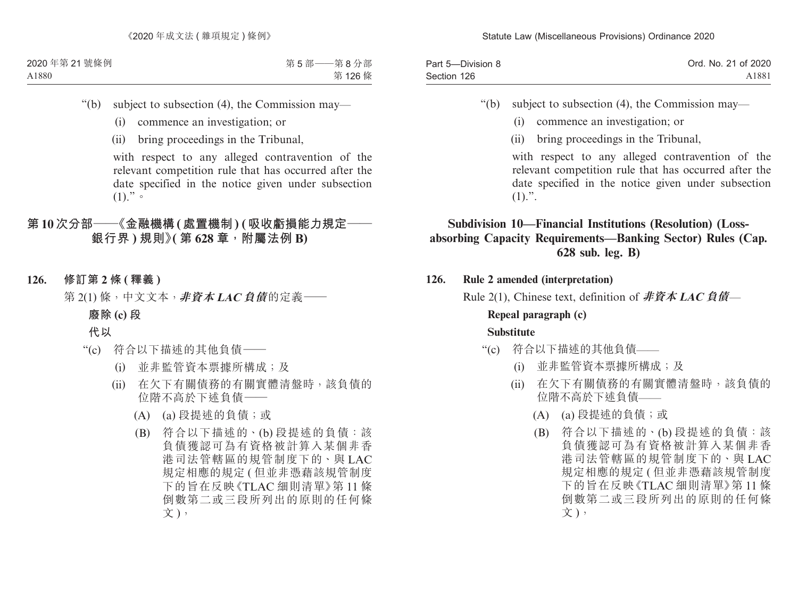| Part 5-Division 8 | Ord. No. 21 of 2020 |
|-------------------|---------------------|
| Section 126       | A1881               |

"(b) subject to subsection (4), the Commission may—

- (i) commence an investigation; or
- (ii) bring proceedings in the Tribunal,

with respect to any alleged contravention of the relevant competition rule that has occurred after the date specified in the notice given under subsection  $(1).$ ".

## **Subdivision 10—Financial Institutions (Resolution) (Lossabsorbing Capacity Requirements—Banking Sector) Rules (Cap. 628 sub. leg. B)**

**126. Rule 2 amended (interpretation)**

Rule 2(1), Chinese text, definition of **非資本 LAC 負債**—

# **Repeal paragraph (c)**

- "(c) 符合以下描述的其他負債——
	- (i) 並非監管資本票據所構成;及
	- (ii) 在欠下有關債務的有關實體清盤時,該負債的 位階不高於下述負債——
		- (A) (a) 段提述的負債;或
		- (B) 符合以下描述的、(b) 段提述的負債:該 負債獲認可為有資格被計算入某個非香 港司法管轄區的規管制度下的、與 LAC 規定相應的規定 ( 但並非憑藉該規管制度 下的旨在反映《TLAC 細則清單》第 11 條 倒數第二或三段所列出的原則的任何條 文),